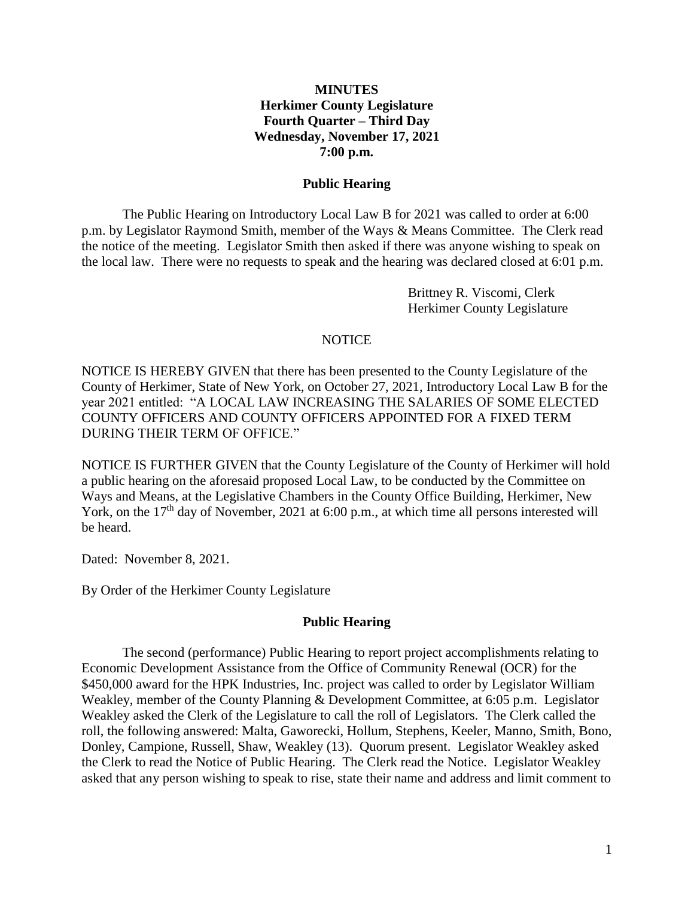#### **MINUTES Herkimer County Legislature Fourth Quarter – Third Day Wednesday, November 17, 2021 7:00 p.m.**

#### **Public Hearing**

The Public Hearing on Introductory Local Law B for 2021 was called to order at 6:00 p.m. by Legislator Raymond Smith, member of the Ways & Means Committee. The Clerk read the notice of the meeting. Legislator Smith then asked if there was anyone wishing to speak on the local law. There were no requests to speak and the hearing was declared closed at 6:01 p.m.

> Brittney R. Viscomi, Clerk Herkimer County Legislature

#### **NOTICE**

NOTICE IS HEREBY GIVEN that there has been presented to the County Legislature of the County of Herkimer, State of New York, on October 27, 2021, Introductory Local Law B for the year 2021 entitled: "A LOCAL LAW INCREASING THE SALARIES OF SOME ELECTED COUNTY OFFICERS AND COUNTY OFFICERS APPOINTED FOR A FIXED TERM DURING THEIR TERM OF OFFICE."

NOTICE IS FURTHER GIVEN that the County Legislature of the County of Herkimer will hold a public hearing on the aforesaid proposed Local Law, to be conducted by the Committee on Ways and Means, at the Legislative Chambers in the County Office Building, Herkimer, New York, on the  $17<sup>th</sup>$  day of November, 2021 at 6:00 p.m., at which time all persons interested will be heard.

Dated: November 8, 2021.

By Order of the Herkimer County Legislature

#### **Public Hearing**

The second (performance) Public Hearing to report project accomplishments relating to Economic Development Assistance from the Office of Community Renewal (OCR) for the \$450,000 award for the HPK Industries, Inc. project was called to order by Legislator William Weakley, member of the County Planning & Development Committee, at 6:05 p.m. Legislator Weakley asked the Clerk of the Legislature to call the roll of Legislators. The Clerk called the roll, the following answered: Malta, Gaworecki, Hollum, Stephens, Keeler, Manno, Smith, Bono, Donley, Campione, Russell, Shaw, Weakley (13). Quorum present. Legislator Weakley asked the Clerk to read the Notice of Public Hearing. The Clerk read the Notice. Legislator Weakley asked that any person wishing to speak to rise, state their name and address and limit comment to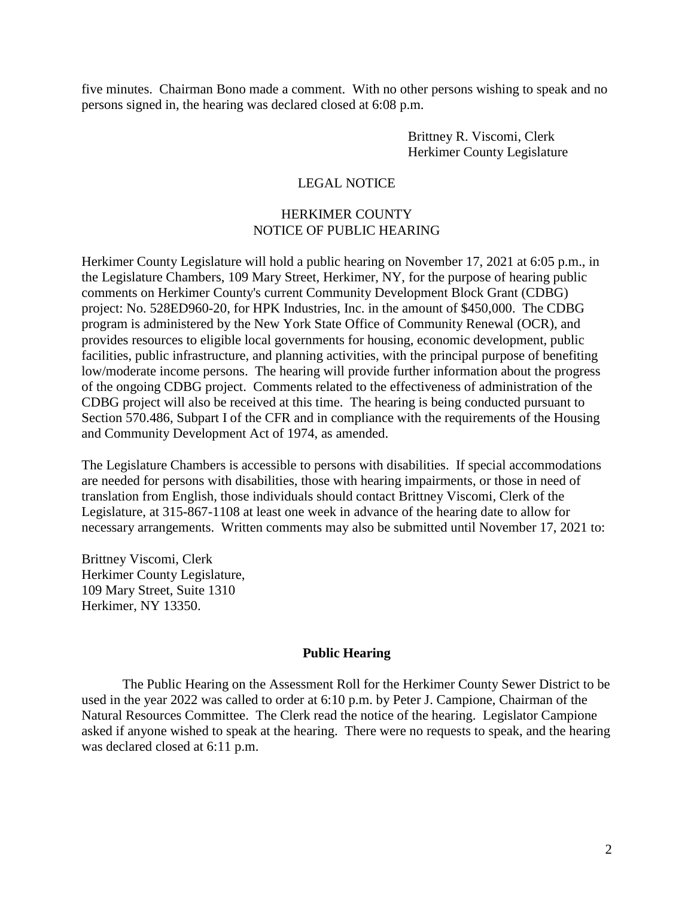five minutes. Chairman Bono made a comment. With no other persons wishing to speak and no persons signed in, the hearing was declared closed at 6:08 p.m.

> Brittney R. Viscomi, Clerk Herkimer County Legislature

#### LEGAL NOTICE

#### HERKIMER COUNTY NOTICE OF PUBLIC HEARING

Herkimer County Legislature will hold a public hearing on November 17, 2021 at 6:05 p.m., in the Legislature Chambers, 109 Mary Street, Herkimer, NY, for the purpose of hearing public comments on Herkimer County's current Community Development Block Grant (CDBG) project: No. 528ED960-20, for HPK Industries, Inc. in the amount of \$450,000. The CDBG program is administered by the New York State Office of Community Renewal (OCR), and provides resources to eligible local governments for housing, economic development, public facilities, public infrastructure, and planning activities, with the principal purpose of benefiting low/moderate income persons. The hearing will provide further information about the progress of the ongoing CDBG project. Comments related to the effectiveness of administration of the CDBG project will also be received at this time. The hearing is being conducted pursuant to Section 570.486, Subpart I of the CFR and in compliance with the requirements of the Housing and Community Development Act of 1974, as amended.

The Legislature Chambers is accessible to persons with disabilities. If special accommodations are needed for persons with disabilities, those with hearing impairments, or those in need of translation from English, those individuals should contact Brittney Viscomi, Clerk of the Legislature, at 315-867-1108 at least one week in advance of the hearing date to allow for necessary arrangements. Written comments may also be submitted until November 17, 2021 to:

Brittney Viscomi, Clerk Herkimer County Legislature, 109 Mary Street, Suite 1310 Herkimer, NY 13350.

#### **Public Hearing**

The Public Hearing on the Assessment Roll for the Herkimer County Sewer District to be used in the year 2022 was called to order at 6:10 p.m. by Peter J. Campione, Chairman of the Natural Resources Committee. The Clerk read the notice of the hearing. Legislator Campione asked if anyone wished to speak at the hearing. There were no requests to speak, and the hearing was declared closed at 6:11 p.m.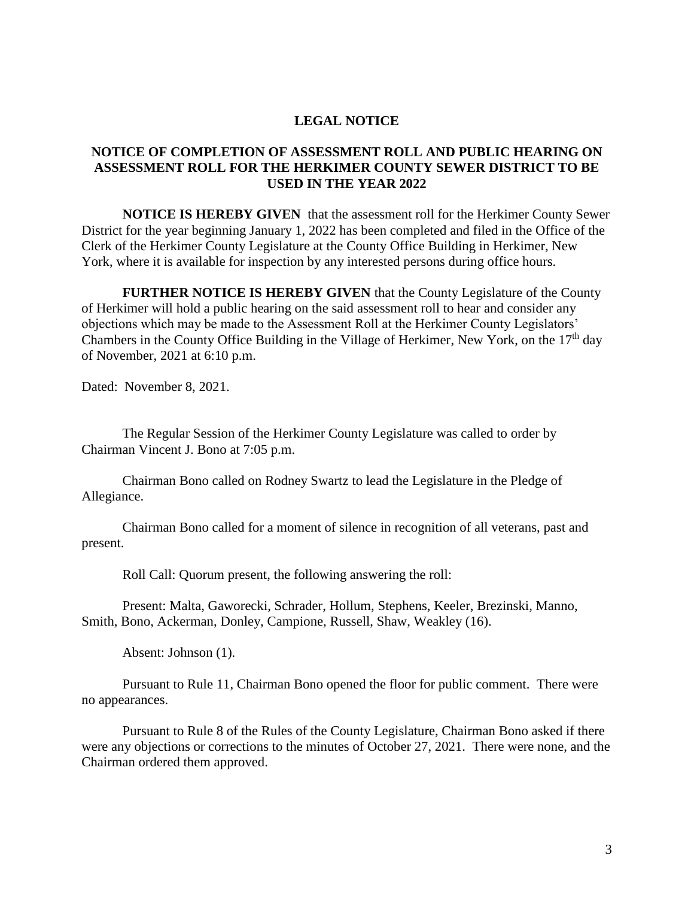#### **LEGAL NOTICE**

#### **NOTICE OF COMPLETION OF ASSESSMENT ROLL AND PUBLIC HEARING ON ASSESSMENT ROLL FOR THE HERKIMER COUNTY SEWER DISTRICT TO BE USED IN THE YEAR 2022**

**NOTICE IS HEREBY GIVEN** that the assessment roll for the Herkimer County Sewer District for the year beginning January 1, 2022 has been completed and filed in the Office of the Clerk of the Herkimer County Legislature at the County Office Building in Herkimer, New York, where it is available for inspection by any interested persons during office hours.

**FURTHER NOTICE IS HEREBY GIVEN** that the County Legislature of the County of Herkimer will hold a public hearing on the said assessment roll to hear and consider any objections which may be made to the Assessment Roll at the Herkimer County Legislators' Chambers in the County Office Building in the Village of Herkimer, New York, on the 17<sup>th</sup> day of November, 2021 at 6:10 p.m.

Dated: November 8, 2021.

The Regular Session of the Herkimer County Legislature was called to order by Chairman Vincent J. Bono at 7:05 p.m.

Chairman Bono called on Rodney Swartz to lead the Legislature in the Pledge of Allegiance.

Chairman Bono called for a moment of silence in recognition of all veterans, past and present.

Roll Call: Quorum present, the following answering the roll:

Present: Malta, Gaworecki, Schrader, Hollum, Stephens, Keeler, Brezinski, Manno, Smith, Bono, Ackerman, Donley, Campione, Russell, Shaw, Weakley (16).

Absent: Johnson (1).

Pursuant to Rule 11, Chairman Bono opened the floor for public comment. There were no appearances.

Pursuant to Rule 8 of the Rules of the County Legislature, Chairman Bono asked if there were any objections or corrections to the minutes of October 27, 2021. There were none, and the Chairman ordered them approved.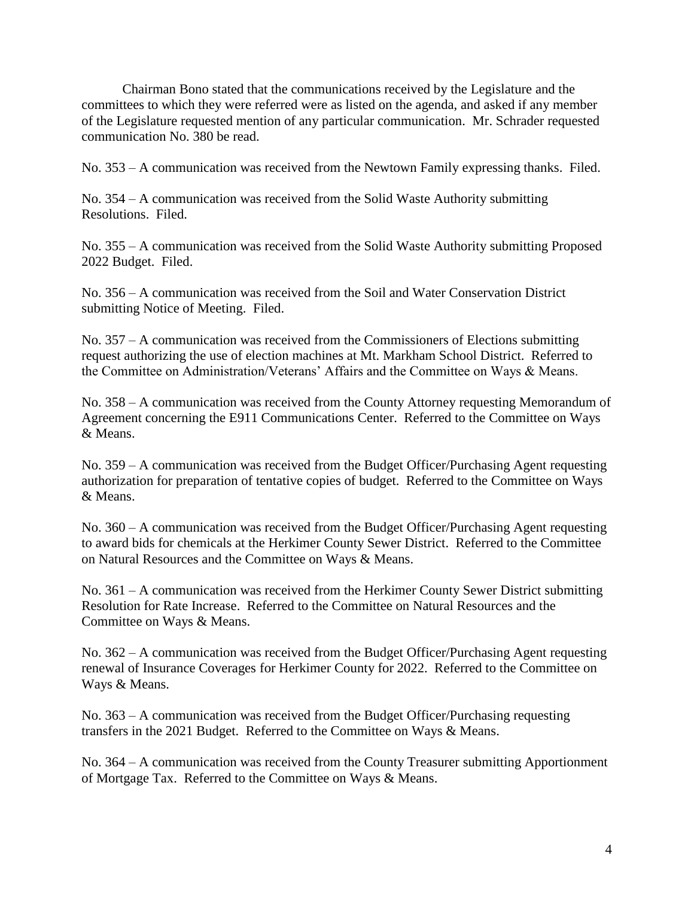Chairman Bono stated that the communications received by the Legislature and the committees to which they were referred were as listed on the agenda, and asked if any member of the Legislature requested mention of any particular communication. Mr. Schrader requested communication No. 380 be read.

No. 353 – A communication was received from the Newtown Family expressing thanks. Filed.

No. 354 – A communication was received from the Solid Waste Authority submitting Resolutions. Filed.

No. 355 – A communication was received from the Solid Waste Authority submitting Proposed 2022 Budget. Filed.

No. 356 – A communication was received from the Soil and Water Conservation District submitting Notice of Meeting. Filed.

No. 357 – A communication was received from the Commissioners of Elections submitting request authorizing the use of election machines at Mt. Markham School District. Referred to the Committee on Administration/Veterans' Affairs and the Committee on Ways & Means.

No. 358 – A communication was received from the County Attorney requesting Memorandum of Agreement concerning the E911 Communications Center. Referred to the Committee on Ways & Means.

No. 359 – A communication was received from the Budget Officer/Purchasing Agent requesting authorization for preparation of tentative copies of budget. Referred to the Committee on Ways & Means.

No. 360 – A communication was received from the Budget Officer/Purchasing Agent requesting to award bids for chemicals at the Herkimer County Sewer District. Referred to the Committee on Natural Resources and the Committee on Ways & Means.

No. 361 – A communication was received from the Herkimer County Sewer District submitting Resolution for Rate Increase. Referred to the Committee on Natural Resources and the Committee on Ways & Means.

No. 362 – A communication was received from the Budget Officer/Purchasing Agent requesting renewal of Insurance Coverages for Herkimer County for 2022. Referred to the Committee on Ways & Means.

No. 363 – A communication was received from the Budget Officer/Purchasing requesting transfers in the 2021 Budget. Referred to the Committee on Ways & Means.

No. 364 – A communication was received from the County Treasurer submitting Apportionment of Mortgage Tax. Referred to the Committee on Ways & Means.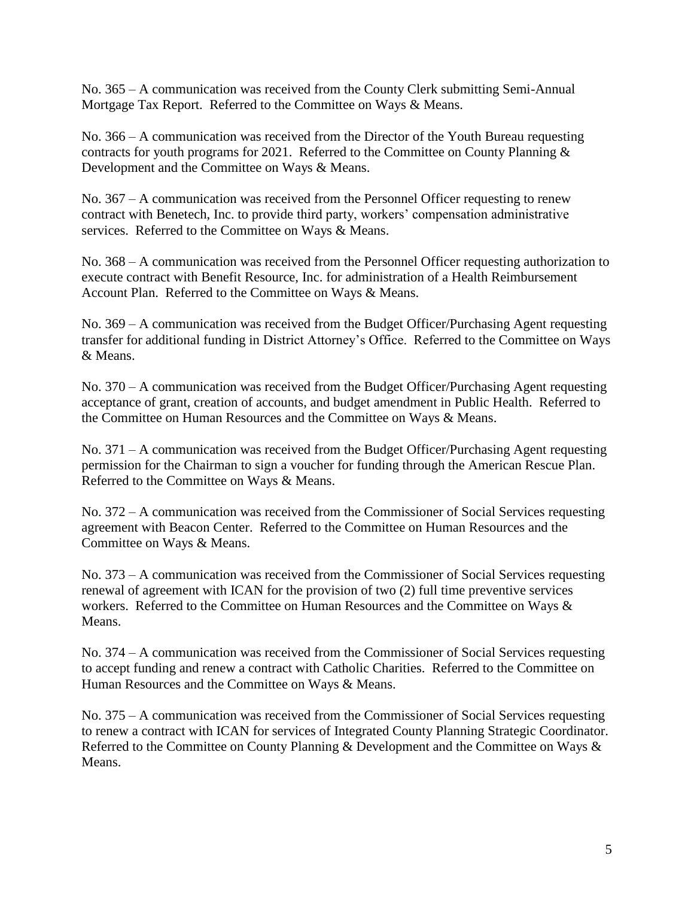No. 365 – A communication was received from the County Clerk submitting Semi-Annual Mortgage Tax Report. Referred to the Committee on Ways & Means.

No. 366 – A communication was received from the Director of the Youth Bureau requesting contracts for youth programs for 2021. Referred to the Committee on County Planning & Development and the Committee on Ways & Means.

No. 367 – A communication was received from the Personnel Officer requesting to renew contract with Benetech, Inc. to provide third party, workers' compensation administrative services. Referred to the Committee on Ways & Means.

No. 368 – A communication was received from the Personnel Officer requesting authorization to execute contract with Benefit Resource, Inc. for administration of a Health Reimbursement Account Plan. Referred to the Committee on Ways & Means.

No. 369 – A communication was received from the Budget Officer/Purchasing Agent requesting transfer for additional funding in District Attorney's Office. Referred to the Committee on Ways & Means.

No. 370 – A communication was received from the Budget Officer/Purchasing Agent requesting acceptance of grant, creation of accounts, and budget amendment in Public Health. Referred to the Committee on Human Resources and the Committee on Ways & Means.

No. 371 – A communication was received from the Budget Officer/Purchasing Agent requesting permission for the Chairman to sign a voucher for funding through the American Rescue Plan. Referred to the Committee on Ways & Means.

No. 372 – A communication was received from the Commissioner of Social Services requesting agreement with Beacon Center. Referred to the Committee on Human Resources and the Committee on Ways & Means.

No. 373 – A communication was received from the Commissioner of Social Services requesting renewal of agreement with ICAN for the provision of two (2) full time preventive services workers. Referred to the Committee on Human Resources and the Committee on Ways & Means.

No. 374 – A communication was received from the Commissioner of Social Services requesting to accept funding and renew a contract with Catholic Charities. Referred to the Committee on Human Resources and the Committee on Ways & Means.

No. 375 – A communication was received from the Commissioner of Social Services requesting to renew a contract with ICAN for services of Integrated County Planning Strategic Coordinator. Referred to the Committee on County Planning & Development and the Committee on Ways & Means.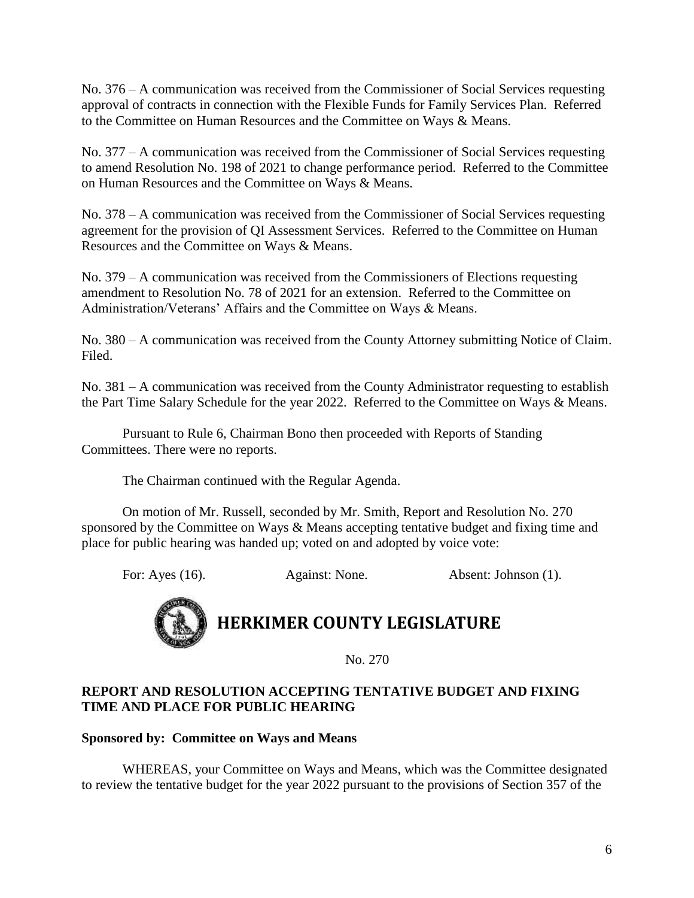No. 376 – A communication was received from the Commissioner of Social Services requesting approval of contracts in connection with the Flexible Funds for Family Services Plan. Referred to the Committee on Human Resources and the Committee on Ways & Means.

No. 377 – A communication was received from the Commissioner of Social Services requesting to amend Resolution No. 198 of 2021 to change performance period. Referred to the Committee on Human Resources and the Committee on Ways & Means.

No. 378 – A communication was received from the Commissioner of Social Services requesting agreement for the provision of QI Assessment Services. Referred to the Committee on Human Resources and the Committee on Ways & Means.

No. 379 – A communication was received from the Commissioners of Elections requesting amendment to Resolution No. 78 of 2021 for an extension. Referred to the Committee on Administration/Veterans' Affairs and the Committee on Ways & Means.

No. 380 – A communication was received from the County Attorney submitting Notice of Claim. Filed.

No. 381 – A communication was received from the County Administrator requesting to establish the Part Time Salary Schedule for the year 2022. Referred to the Committee on Ways & Means.

Pursuant to Rule 6, Chairman Bono then proceeded with Reports of Standing Committees. There were no reports.

The Chairman continued with the Regular Agenda.

On motion of Mr. Russell, seconded by Mr. Smith, Report and Resolution No. 270 sponsored by the Committee on Ways & Means accepting tentative budget and fixing time and place for public hearing was handed up; voted on and adopted by voice vote:

For: Ayes (16). Against: None. Absent: Johnson (1).

# **HERKIMER COUNTY LEGISLATURE**

No. 270

#### **REPORT AND RESOLUTION ACCEPTING TENTATIVE BUDGET AND FIXING TIME AND PLACE FOR PUBLIC HEARING**

#### **Sponsored by: Committee on Ways and Means**

WHEREAS, your Committee on Ways and Means, which was the Committee designated to review the tentative budget for the year 2022 pursuant to the provisions of Section 357 of the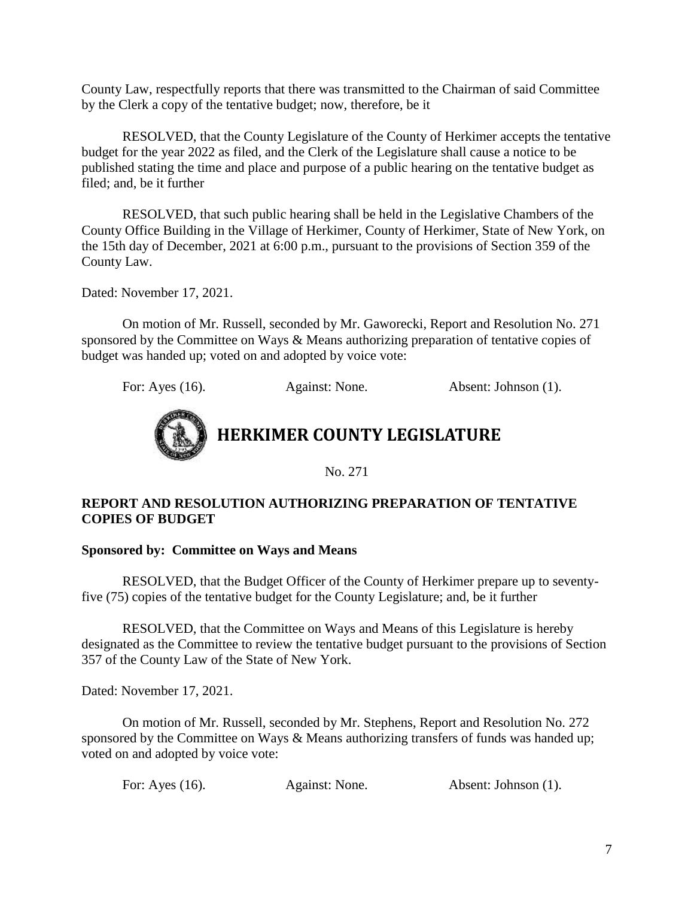County Law, respectfully reports that there was transmitted to the Chairman of said Committee by the Clerk a copy of the tentative budget; now, therefore, be it

RESOLVED, that the County Legislature of the County of Herkimer accepts the tentative budget for the year 2022 as filed, and the Clerk of the Legislature shall cause a notice to be published stating the time and place and purpose of a public hearing on the tentative budget as filed; and, be it further

RESOLVED, that such public hearing shall be held in the Legislative Chambers of the County Office Building in the Village of Herkimer, County of Herkimer, State of New York, on the 15th day of December, 2021 at 6:00 p.m., pursuant to the provisions of Section 359 of the County Law.

Dated: November 17, 2021.

On motion of Mr. Russell, seconded by Mr. Gaworecki, Report and Resolution No. 271 sponsored by the Committee on Ways & Means authorizing preparation of tentative copies of budget was handed up; voted on and adopted by voice vote:

For: Ayes (16). Against: None. Absent: Johnson (1).



No. 271

#### **REPORT AND RESOLUTION AUTHORIZING PREPARATION OF TENTATIVE COPIES OF BUDGET**

#### **Sponsored by: Committee on Ways and Means**

RESOLVED, that the Budget Officer of the County of Herkimer prepare up to seventyfive (75) copies of the tentative budget for the County Legislature; and, be it further

RESOLVED, that the Committee on Ways and Means of this Legislature is hereby designated as the Committee to review the tentative budget pursuant to the provisions of Section 357 of the County Law of the State of New York.

Dated: November 17, 2021.

On motion of Mr. Russell, seconded by Mr. Stephens, Report and Resolution No. 272 sponsored by the Committee on Ways & Means authorizing transfers of funds was handed up; voted on and adopted by voice vote:

For: Ayes (16). Against: None. Absent: Johnson (1).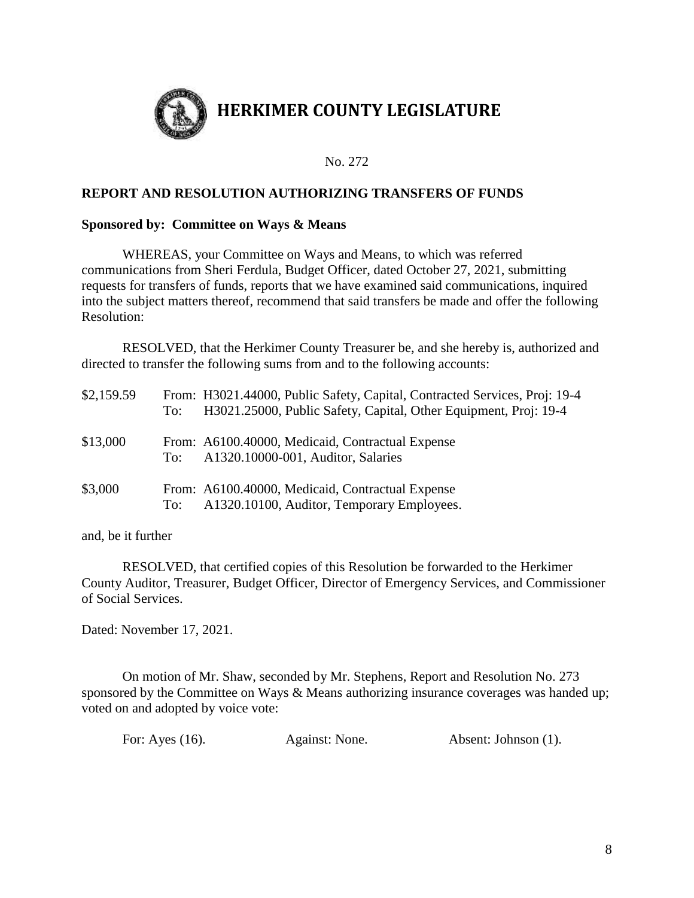

#### No. 272

#### **REPORT AND RESOLUTION AUTHORIZING TRANSFERS OF FUNDS**

#### **Sponsored by: Committee on Ways & Means**

WHEREAS, your Committee on Ways and Means, to which was referred communications from Sheri Ferdula, Budget Officer, dated October 27, 2021, submitting requests for transfers of funds, reports that we have examined said communications, inquired into the subject matters thereof, recommend that said transfers be made and offer the following Resolution:

RESOLVED, that the Herkimer County Treasurer be, and she hereby is, authorized and directed to transfer the following sums from and to the following accounts:

| \$2,159.59 | To: | From: H3021.44000, Public Safety, Capital, Contracted Services, Proj: 19-4<br>H3021.25000, Public Safety, Capital, Other Equipment, Proj: 19-4 |
|------------|-----|------------------------------------------------------------------------------------------------------------------------------------------------|
| \$13,000   | To: | From: A6100.40000, Medicaid, Contractual Expense<br>A1320.10000-001, Auditor, Salaries                                                         |
| \$3,000    | To: | From: A6100.40000, Medicaid, Contractual Expense<br>A1320.10100, Auditor, Temporary Employees.                                                 |

and, be it further

RESOLVED, that certified copies of this Resolution be forwarded to the Herkimer County Auditor, Treasurer, Budget Officer, Director of Emergency Services, and Commissioner of Social Services.

Dated: November 17, 2021.

On motion of Mr. Shaw, seconded by Mr. Stephens, Report and Resolution No. 273 sponsored by the Committee on Ways & Means authorizing insurance coverages was handed up; voted on and adopted by voice vote:

| For: Ayes (16). | Against: None. | Absent: Johnson (1). |
|-----------------|----------------|----------------------|
|                 |                |                      |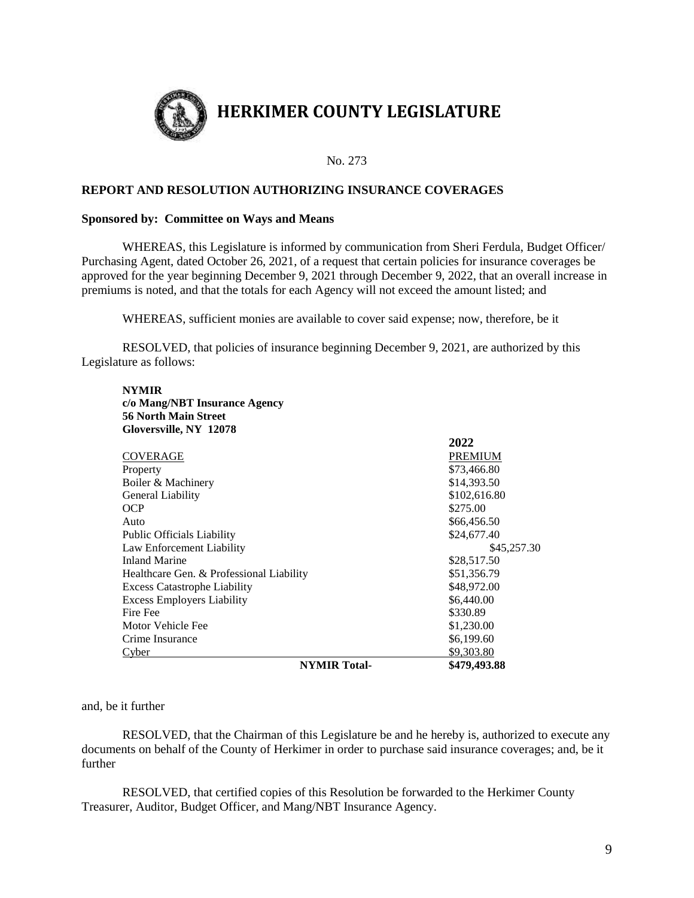

#### No. 273

#### **REPORT AND RESOLUTION AUTHORIZING INSURANCE COVERAGES**

#### **Sponsored by: Committee on Ways and Means**

**c/o Mang/NBT Insurance Agency**

WHEREAS, this Legislature is informed by communication from Sheri Ferdula, Budget Officer/ Purchasing Agent, dated October 26, 2021, of a request that certain policies for insurance coverages be approved for the year beginning December 9, 2021 through December 9, 2022, that an overall increase in premiums is noted, and that the totals for each Agency will not exceed the amount listed; and

WHEREAS, sufficient monies are available to cover said expense; now, therefore, be it

RESOLVED, that policies of insurance beginning December 9, 2021, are authorized by this Legislature as follows:

| Gloversville, NY 12078                   |                |
|------------------------------------------|----------------|
|                                          | 2022           |
| COVERAGE                                 | <b>PREMIUM</b> |
| Property                                 | \$73,466.80    |
| Boiler & Machinery                       | \$14,393.50    |
| General Liability                        | \$102,616.80   |
| OCP.                                     | \$275.00       |
| Auto                                     | \$66,456.50    |
| <b>Public Officials Liability</b>        | \$24,677.40    |
| Law Enforcement Liability                | \$45,257.30    |
| <b>Inland Marine</b>                     | \$28,517.50    |
| Healthcare Gen. & Professional Liability | \$51,356.79    |
| <b>Excess Catastrophe Liability</b>      | \$48,972.00    |
| <b>Excess Employers Liability</b>        | \$6,440.00     |
| Fire Fee                                 | \$330.89       |
| Motor Vehicle Fee                        | \$1,230.00     |
| Crime Insurance                          | \$6,199.60     |
| Cvber                                    | \$9,303.80     |
| <b>NYMIR</b> Total-                      | \$479,493.88   |

and, be it further

**NYMIR**

RESOLVED, that the Chairman of this Legislature be and he hereby is, authorized to execute any documents on behalf of the County of Herkimer in order to purchase said insurance coverages; and, be it further

RESOLVED, that certified copies of this Resolution be forwarded to the Herkimer County Treasurer, Auditor, Budget Officer, and Mang/NBT Insurance Agency.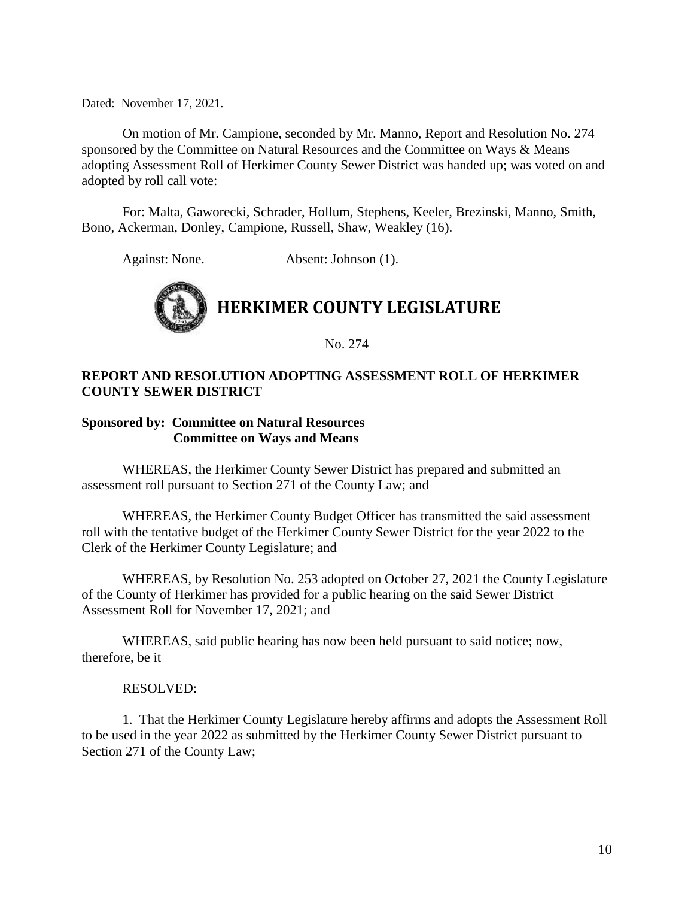Dated: November 17, 2021.

On motion of Mr. Campione, seconded by Mr. Manno, Report and Resolution No. 274 sponsored by the Committee on Natural Resources and the Committee on Ways & Means adopting Assessment Roll of Herkimer County Sewer District was handed up; was voted on and adopted by roll call vote:

For: Malta, Gaworecki, Schrader, Hollum, Stephens, Keeler, Brezinski, Manno, Smith, Bono, Ackerman, Donley, Campione, Russell, Shaw, Weakley (16).

Against: None. Absent: Johnson (1).



No. 274

#### **REPORT AND RESOLUTION ADOPTING ASSESSMENT ROLL OF HERKIMER COUNTY SEWER DISTRICT**

#### **Sponsored by: Committee on Natural Resources Committee on Ways and Means**

WHEREAS, the Herkimer County Sewer District has prepared and submitted an assessment roll pursuant to Section 271 of the County Law; and

WHEREAS, the Herkimer County Budget Officer has transmitted the said assessment roll with the tentative budget of the Herkimer County Sewer District for the year 2022 to the Clerk of the Herkimer County Legislature; and

WHEREAS, by Resolution No. 253 adopted on October 27, 2021 the County Legislature of the County of Herkimer has provided for a public hearing on the said Sewer District Assessment Roll for November 17, 2021; and

WHEREAS, said public hearing has now been held pursuant to said notice; now, therefore, be it

#### RESOLVED:

1. That the Herkimer County Legislature hereby affirms and adopts the Assessment Roll to be used in the year 2022 as submitted by the Herkimer County Sewer District pursuant to Section 271 of the County Law;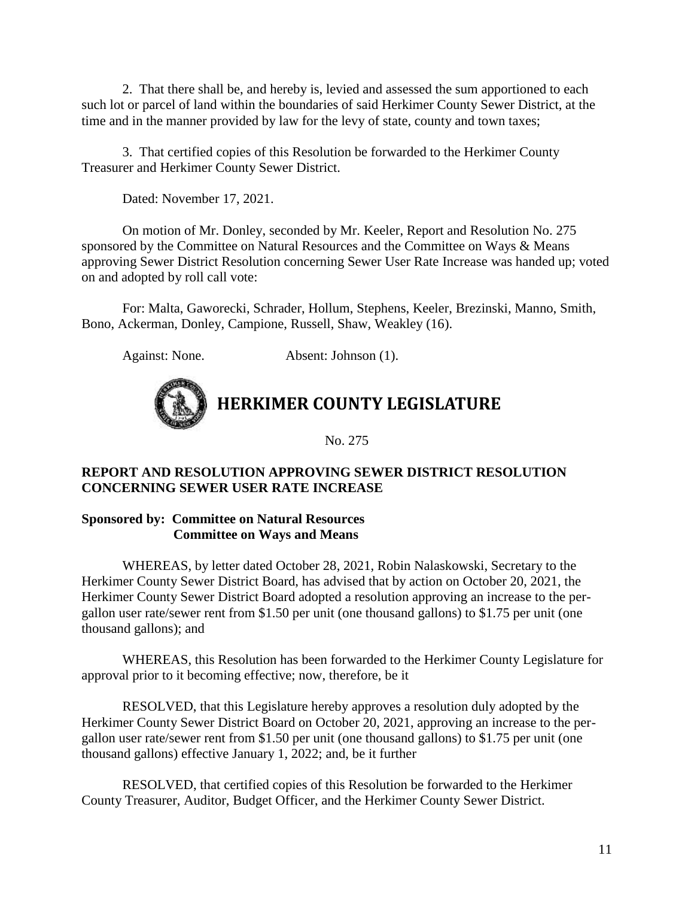2. That there shall be, and hereby is, levied and assessed the sum apportioned to each such lot or parcel of land within the boundaries of said Herkimer County Sewer District, at the time and in the manner provided by law for the levy of state, county and town taxes;

3. That certified copies of this Resolution be forwarded to the Herkimer County Treasurer and Herkimer County Sewer District.

Dated: November 17, 2021.

On motion of Mr. Donley, seconded by Mr. Keeler, Report and Resolution No. 275 sponsored by the Committee on Natural Resources and the Committee on Ways & Means approving Sewer District Resolution concerning Sewer User Rate Increase was handed up; voted on and adopted by roll call vote:

For: Malta, Gaworecki, Schrader, Hollum, Stephens, Keeler, Brezinski, Manno, Smith, Bono, Ackerman, Donley, Campione, Russell, Shaw, Weakley (16).

Against: None. Absent: Johnson (1).



**HERKIMER COUNTY LEGISLATURE**

No. 275

#### **REPORT AND RESOLUTION APPROVING SEWER DISTRICT RESOLUTION CONCERNING SEWER USER RATE INCREASE**

**Sponsored by: Committee on Natural Resources Committee on Ways and Means**

WHEREAS, by letter dated October 28, 2021, Robin Nalaskowski, Secretary to the Herkimer County Sewer District Board, has advised that by action on October 20, 2021, the Herkimer County Sewer District Board adopted a resolution approving an increase to the pergallon user rate/sewer rent from \$1.50 per unit (one thousand gallons) to \$1.75 per unit (one thousand gallons); and

WHEREAS, this Resolution has been forwarded to the Herkimer County Legislature for approval prior to it becoming effective; now, therefore, be it

RESOLVED, that this Legislature hereby approves a resolution duly adopted by the Herkimer County Sewer District Board on October 20, 2021, approving an increase to the pergallon user rate/sewer rent from \$1.50 per unit (one thousand gallons) to \$1.75 per unit (one thousand gallons) effective January 1, 2022; and, be it further

RESOLVED, that certified copies of this Resolution be forwarded to the Herkimer County Treasurer, Auditor, Budget Officer, and the Herkimer County Sewer District.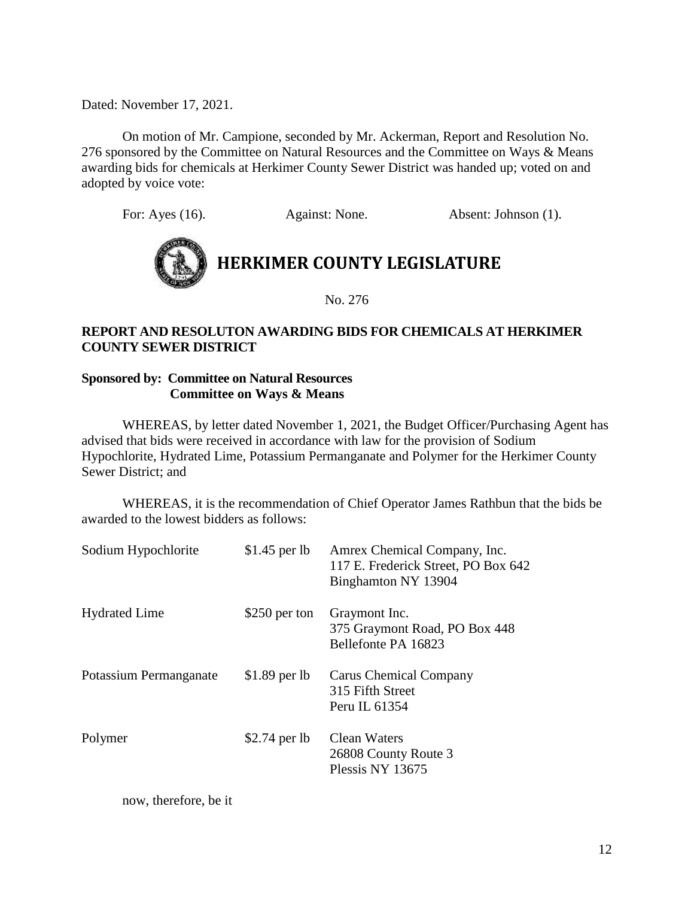Dated: November 17, 2021.

On motion of Mr. Campione, seconded by Mr. Ackerman, Report and Resolution No. 276 sponsored by the Committee on Natural Resources and the Committee on Ways & Means awarding bids for chemicals at Herkimer County Sewer District was handed up; voted on and adopted by voice vote:

For: Ayes (16). Against: None. Absent: Johnson (1).



No. 276

#### **REPORT AND RESOLUTON AWARDING BIDS FOR CHEMICALS AT HERKIMER COUNTY SEWER DISTRICT**

#### **Sponsored by: Committee on Natural Resources Committee on Ways & Means**

WHEREAS, by letter dated November 1, 2021, the Budget Officer/Purchasing Agent has advised that bids were received in accordance with law for the provision of Sodium Hypochlorite, Hydrated Lime, Potassium Permanganate and Polymer for the Herkimer County Sewer District; and

WHEREAS, it is the recommendation of Chief Operator James Rathbun that the bids be awarded to the lowest bidders as follows:

| Sodium Hypochlorite    | $$1.45$ per lb | Amrex Chemical Company, Inc.<br>117 E. Frederick Street, PO Box 642<br>Binghamton NY 13904 |
|------------------------|----------------|--------------------------------------------------------------------------------------------|
| <b>Hydrated Lime</b>   | $$250$ per ton | Graymont Inc.<br>375 Graymont Road, PO Box 448<br>Bellefonte PA 16823                      |
| Potassium Permanganate | $$1.89$ per lb | Carus Chemical Company<br>315 Fifth Street<br>Peru IL 61354                                |
| Polymer                | $$2.74$ per lb | Clean Waters<br>26808 County Route 3<br>Plessis NY 13675                                   |

now, therefore, be it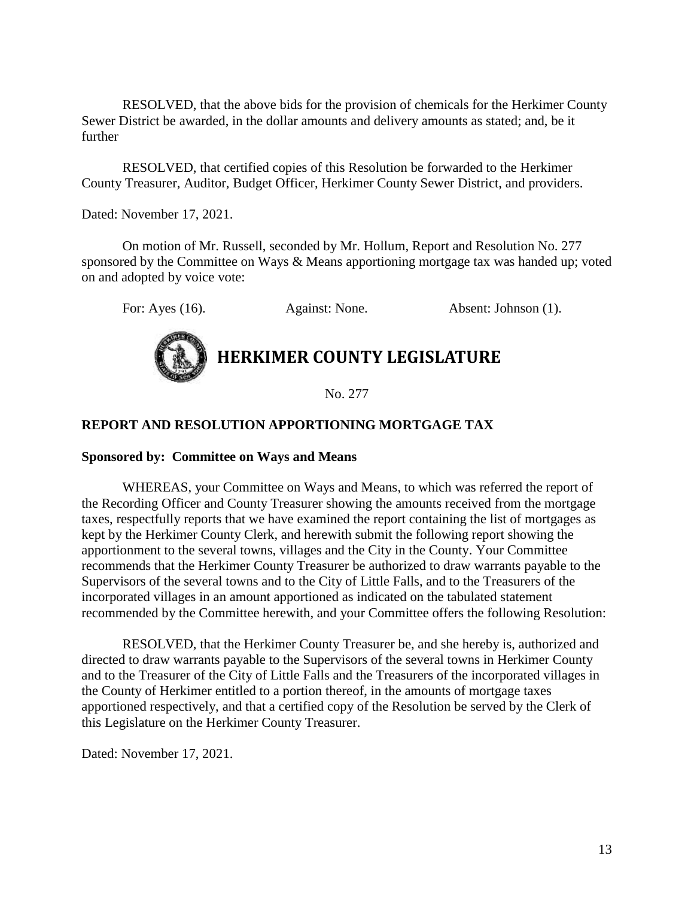RESOLVED, that the above bids for the provision of chemicals for the Herkimer County Sewer District be awarded, in the dollar amounts and delivery amounts as stated; and, be it further

RESOLVED, that certified copies of this Resolution be forwarded to the Herkimer County Treasurer, Auditor, Budget Officer, Herkimer County Sewer District, and providers.

Dated: November 17, 2021.

On motion of Mr. Russell, seconded by Mr. Hollum, Report and Resolution No. 277 sponsored by the Committee on Ways & Means apportioning mortgage tax was handed up; voted on and adopted by voice vote:

For: Ayes (16). Against: None. Absent: Johnson (1).

# **HERKIMER COUNTY LEGISLATURE**

No. 277

#### **REPORT AND RESOLUTION APPORTIONING MORTGAGE TAX**

#### **Sponsored by: Committee on Ways and Means**

WHEREAS, your Committee on Ways and Means, to which was referred the report of the Recording Officer and County Treasurer showing the amounts received from the mortgage taxes, respectfully reports that we have examined the report containing the list of mortgages as kept by the Herkimer County Clerk, and herewith submit the following report showing the apportionment to the several towns, villages and the City in the County. Your Committee recommends that the Herkimer County Treasurer be authorized to draw warrants payable to the Supervisors of the several towns and to the City of Little Falls, and to the Treasurers of the incorporated villages in an amount apportioned as indicated on the tabulated statement recommended by the Committee herewith, and your Committee offers the following Resolution:

RESOLVED, that the Herkimer County Treasurer be, and she hereby is, authorized and directed to draw warrants payable to the Supervisors of the several towns in Herkimer County and to the Treasurer of the City of Little Falls and the Treasurers of the incorporated villages in the County of Herkimer entitled to a portion thereof, in the amounts of mortgage taxes apportioned respectively, and that a certified copy of the Resolution be served by the Clerk of this Legislature on the Herkimer County Treasurer.

Dated: November 17, 2021.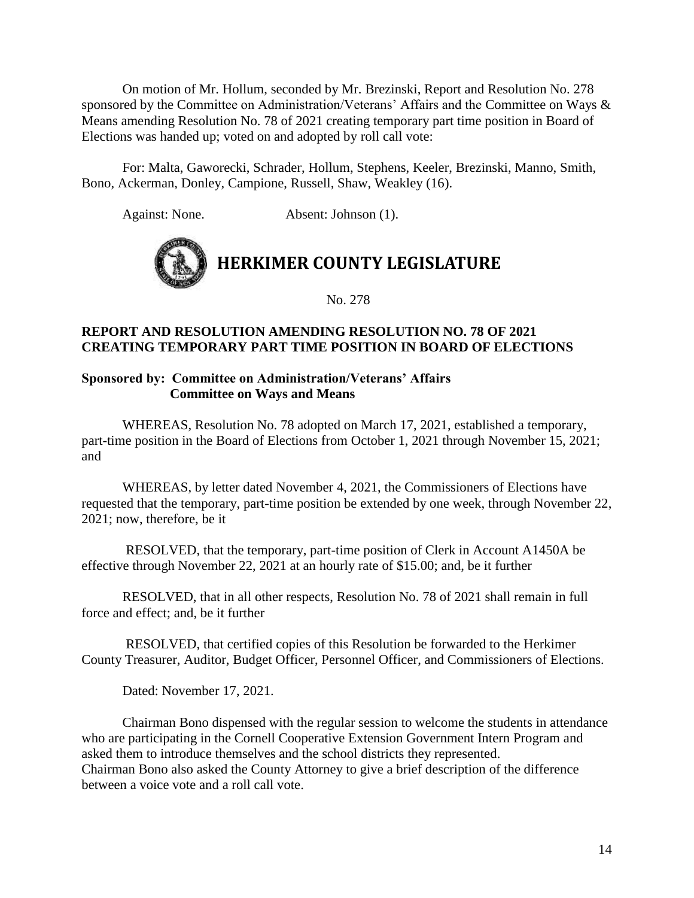On motion of Mr. Hollum, seconded by Mr. Brezinski, Report and Resolution No. 278 sponsored by the Committee on Administration/Veterans' Affairs and the Committee on Ways & Means amending Resolution No. 78 of 2021 creating temporary part time position in Board of Elections was handed up; voted on and adopted by roll call vote:

For: Malta, Gaworecki, Schrader, Hollum, Stephens, Keeler, Brezinski, Manno, Smith, Bono, Ackerman, Donley, Campione, Russell, Shaw, Weakley (16).

Against: None. Absent: Johnson (1).



No. 278

#### **REPORT AND RESOLUTION AMENDING RESOLUTION NO. 78 OF 2021 CREATING TEMPORARY PART TIME POSITION IN BOARD OF ELECTIONS**

#### **Sponsored by: Committee on Administration/Veterans' Affairs Committee on Ways and Means**

WHEREAS, Resolution No. 78 adopted on March 17, 2021, established a temporary, part-time position in the Board of Elections from October 1, 2021 through November 15, 2021; and

WHEREAS, by letter dated November 4, 2021, the Commissioners of Elections have requested that the temporary, part-time position be extended by one week, through November 22, 2021; now, therefore, be it

RESOLVED, that the temporary, part-time position of Clerk in Account A1450A be effective through November 22, 2021 at an hourly rate of \$15.00; and, be it further

RESOLVED, that in all other respects, Resolution No. 78 of 2021 shall remain in full force and effect; and, be it further

RESOLVED, that certified copies of this Resolution be forwarded to the Herkimer County Treasurer, Auditor, Budget Officer, Personnel Officer, and Commissioners of Elections.

Dated: November 17, 2021.

Chairman Bono dispensed with the regular session to welcome the students in attendance who are participating in the Cornell Cooperative Extension Government Intern Program and asked them to introduce themselves and the school districts they represented. Chairman Bono also asked the County Attorney to give a brief description of the difference between a voice vote and a roll call vote.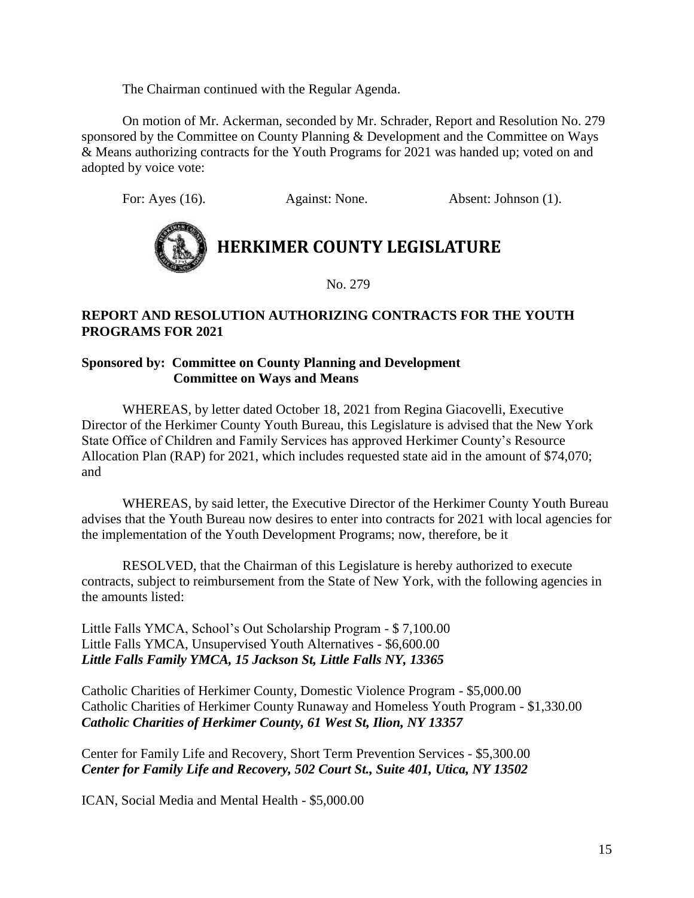The Chairman continued with the Regular Agenda.

On motion of Mr. Ackerman, seconded by Mr. Schrader, Report and Resolution No. 279 sponsored by the Committee on County Planning & Development and the Committee on Ways & Means authorizing contracts for the Youth Programs for 2021 was handed up; voted on and adopted by voice vote:

For: Ayes (16). Against: None. Absent: Johnson (1).



# **HERKIMER COUNTY LEGISLATURE**

No. 279

#### **REPORT AND RESOLUTION AUTHORIZING CONTRACTS FOR THE YOUTH PROGRAMS FOR 2021**

#### **Sponsored by: Committee on County Planning and Development Committee on Ways and Means**

WHEREAS, by letter dated October 18, 2021 from Regina Giacovelli, Executive Director of the Herkimer County Youth Bureau, this Legislature is advised that the New York State Office of Children and Family Services has approved Herkimer County's Resource Allocation Plan (RAP) for 2021, which includes requested state aid in the amount of \$74,070; and

WHEREAS, by said letter, the Executive Director of the Herkimer County Youth Bureau advises that the Youth Bureau now desires to enter into contracts for 2021 with local agencies for the implementation of the Youth Development Programs; now, therefore, be it

RESOLVED, that the Chairman of this Legislature is hereby authorized to execute contracts, subject to reimbursement from the State of New York, with the following agencies in the amounts listed:

Little Falls YMCA, School's Out Scholarship Program - \$ 7,100.00 Little Falls YMCA, Unsupervised Youth Alternatives - \$6,600.00 *Little Falls Family YMCA, 15 Jackson St, Little Falls NY, 13365*

Catholic Charities of Herkimer County, Domestic Violence Program - \$5,000.00 Catholic Charities of Herkimer County Runaway and Homeless Youth Program - \$1,330.00 *Catholic Charities of Herkimer County, 61 West St, Ilion, NY 13357*

Center for Family Life and Recovery, Short Term Prevention Services - \$5,300.00 *Center for Family Life and Recovery, 502 Court St., Suite 401, Utica, NY 13502*

ICAN, Social Media and Mental Health - \$5,000.00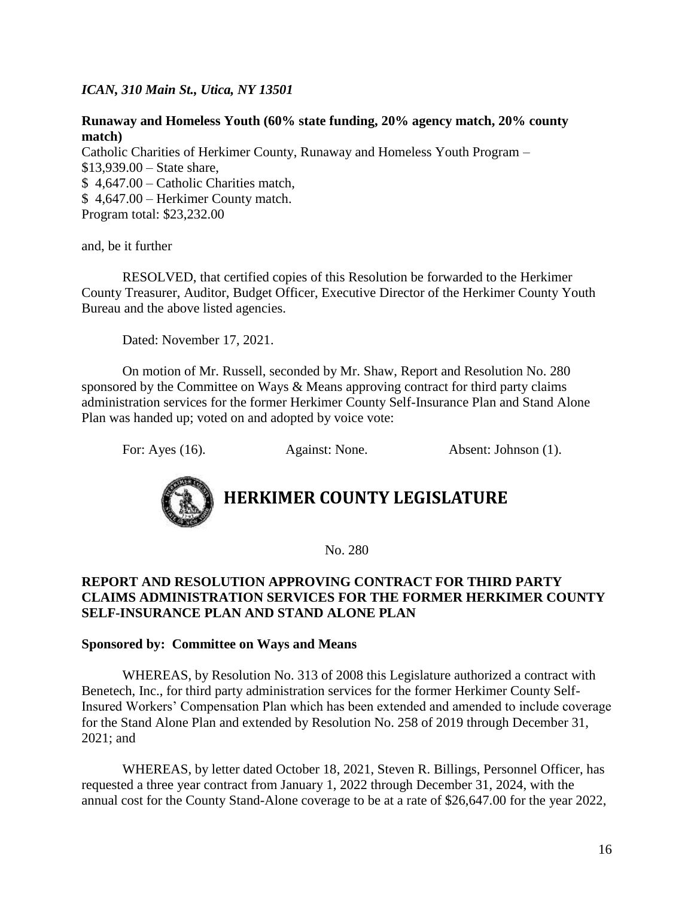*ICAN, 310 Main St., Utica, NY 13501*

#### **Runaway and Homeless Youth (60% state funding, 20% agency match, 20% county match)**

Catholic Charities of Herkimer County, Runaway and Homeless Youth Program – \$13,939.00 – State share, \$ 4,647.00 – Catholic Charities match, \$ 4,647.00 – Herkimer County match. Program total: \$23,232.00

and, be it further

RESOLVED, that certified copies of this Resolution be forwarded to the Herkimer County Treasurer, Auditor, Budget Officer, Executive Director of the Herkimer County Youth Bureau and the above listed agencies.

Dated: November 17, 2021.

On motion of Mr. Russell, seconded by Mr. Shaw, Report and Resolution No. 280 sponsored by the Committee on Ways & Means approving contract for third party claims administration services for the former Herkimer County Self-Insurance Plan and Stand Alone Plan was handed up; voted on and adopted by voice vote:

For: Ayes (16). Against: None. Absent: Johnson (1).



# **HERKIMER COUNTY LEGISLATURE**

No. 280

#### **REPORT AND RESOLUTION APPROVING CONTRACT FOR THIRD PARTY CLAIMS ADMINISTRATION SERVICES FOR THE FORMER HERKIMER COUNTY SELF-INSURANCE PLAN AND STAND ALONE PLAN**

#### **Sponsored by: Committee on Ways and Means**

WHEREAS, by Resolution No. 313 of 2008 this Legislature authorized a contract with Benetech, Inc., for third party administration services for the former Herkimer County Self-Insured Workers' Compensation Plan which has been extended and amended to include coverage for the Stand Alone Plan and extended by Resolution No. 258 of 2019 through December 31, 2021; and

WHEREAS, by letter dated October 18, 2021, Steven R. Billings, Personnel Officer, has requested a three year contract from January 1, 2022 through December 31, 2024, with the annual cost for the County Stand-Alone coverage to be at a rate of \$26,647.00 for the year 2022,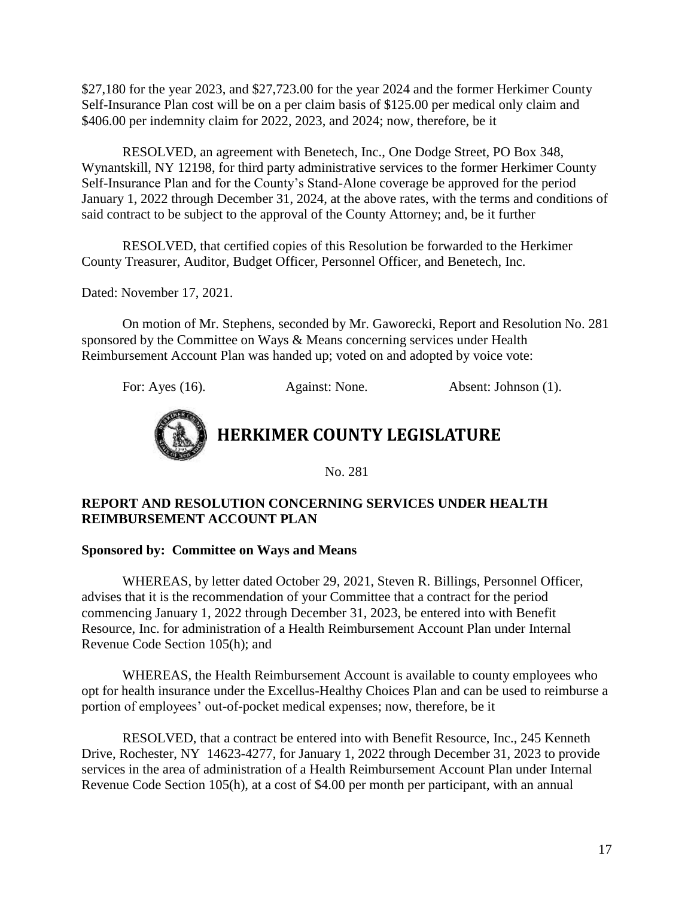\$27,180 for the year 2023, and \$27,723.00 for the year 2024 and the former Herkimer County Self-Insurance Plan cost will be on a per claim basis of \$125.00 per medical only claim and \$406.00 per indemnity claim for 2022, 2023, and 2024; now, therefore, be it

RESOLVED, an agreement with Benetech, Inc., One Dodge Street, PO Box 348, Wynantskill, NY 12198, for third party administrative services to the former Herkimer County Self-Insurance Plan and for the County's Stand-Alone coverage be approved for the period January 1, 2022 through December 31, 2024, at the above rates, with the terms and conditions of said contract to be subject to the approval of the County Attorney; and, be it further

RESOLVED, that certified copies of this Resolution be forwarded to the Herkimer County Treasurer, Auditor, Budget Officer, Personnel Officer, and Benetech, Inc.

Dated: November 17, 2021.

On motion of Mr. Stephens, seconded by Mr. Gaworecki, Report and Resolution No. 281 sponsored by the Committee on Ways & Means concerning services under Health Reimbursement Account Plan was handed up; voted on and adopted by voice vote:

For: Ayes (16). Against: None. Absent: Johnson (1).



No. 281

#### **REPORT AND RESOLUTION CONCERNING SERVICES UNDER HEALTH REIMBURSEMENT ACCOUNT PLAN**

#### **Sponsored by: Committee on Ways and Means**

WHEREAS, by letter dated October 29, 2021, Steven R. Billings, Personnel Officer, advises that it is the recommendation of your Committee that a contract for the period commencing January 1, 2022 through December 31, 2023, be entered into with Benefit Resource, Inc. for administration of a Health Reimbursement Account Plan under Internal Revenue Code Section 105(h); and

WHEREAS, the Health Reimbursement Account is available to county employees who opt for health insurance under the Excellus-Healthy Choices Plan and can be used to reimburse a portion of employees' out-of-pocket medical expenses; now, therefore, be it

RESOLVED, that a contract be entered into with Benefit Resource, Inc., 245 Kenneth Drive, Rochester, NY 14623-4277, for January 1, 2022 through December 31, 2023 to provide services in the area of administration of a Health Reimbursement Account Plan under Internal Revenue Code Section 105(h), at a cost of \$4.00 per month per participant, with an annual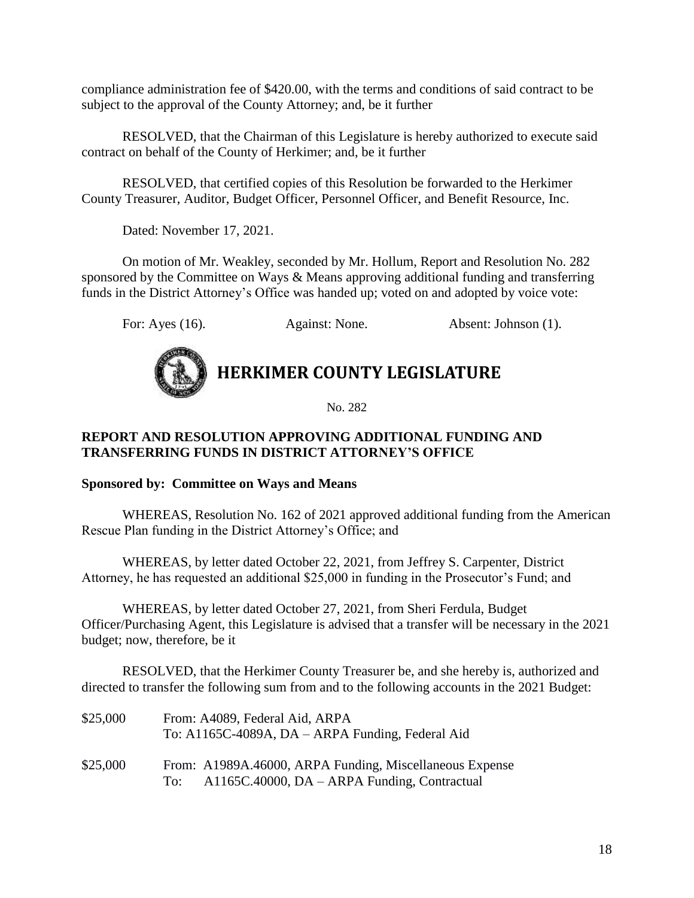compliance administration fee of \$420.00, with the terms and conditions of said contract to be subject to the approval of the County Attorney; and, be it further

RESOLVED, that the Chairman of this Legislature is hereby authorized to execute said contract on behalf of the County of Herkimer; and, be it further

RESOLVED, that certified copies of this Resolution be forwarded to the Herkimer County Treasurer, Auditor, Budget Officer, Personnel Officer, and Benefit Resource, Inc.

Dated: November 17, 2021.

On motion of Mr. Weakley, seconded by Mr. Hollum, Report and Resolution No. 282 sponsored by the Committee on Ways & Means approving additional funding and transferring funds in the District Attorney's Office was handed up; voted on and adopted by voice vote:

For: Ayes (16). Against: None. Absent: Johnson (1).



**HERKIMER COUNTY LEGISLATURE**

No. 282

#### **REPORT AND RESOLUTION APPROVING ADDITIONAL FUNDING AND TRANSFERRING FUNDS IN DISTRICT ATTORNEY'S OFFICE**

#### **Sponsored by: Committee on Ways and Means**

WHEREAS, Resolution No. 162 of 2021 approved additional funding from the American Rescue Plan funding in the District Attorney's Office; and

WHEREAS, by letter dated October 22, 2021, from Jeffrey S. Carpenter, District Attorney, he has requested an additional \$25,000 in funding in the Prosecutor's Fund; and

WHEREAS, by letter dated October 27, 2021, from Sheri Ferdula, Budget Officer/Purchasing Agent, this Legislature is advised that a transfer will be necessary in the 2021 budget; now, therefore, be it

RESOLVED, that the Herkimer County Treasurer be, and she hereby is, authorized and directed to transfer the following sum from and to the following accounts in the 2021 Budget:

| \$25,000 | From: A4089, Federal Aid, ARPA<br>To: A1165C-4089A, DA – ARPA Funding, Federal Aid                                  |
|----------|---------------------------------------------------------------------------------------------------------------------|
| \$25,000 | From: A1989A.46000, ARPA Funding, Miscellaneous Expense<br>$A1165C.40000$ , $DA - ARPA$ Funding, Contractual<br>To: |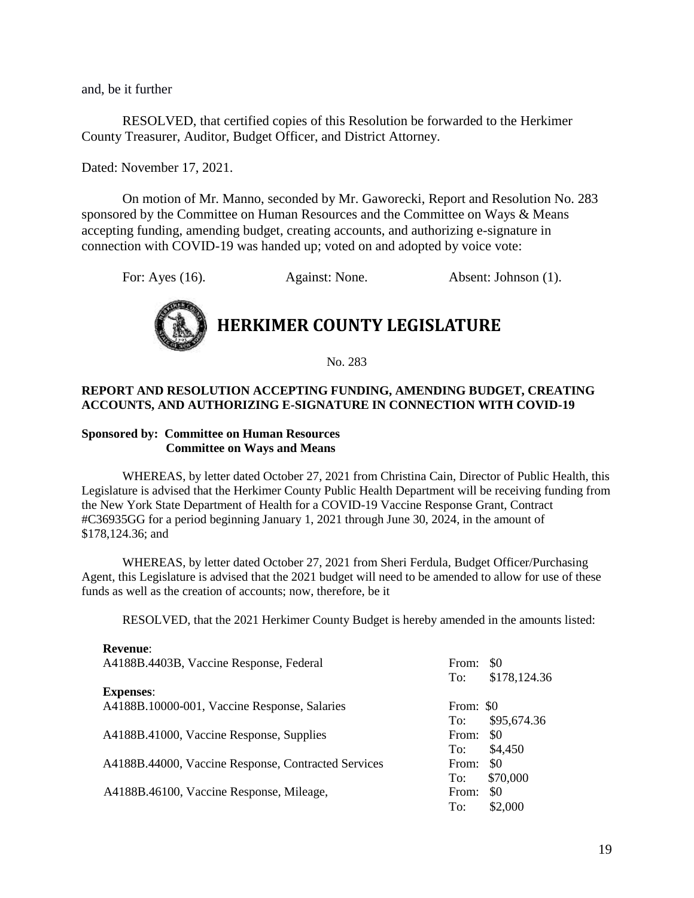and, be it further

RESOLVED, that certified copies of this Resolution be forwarded to the Herkimer County Treasurer, Auditor, Budget Officer, and District Attorney.

Dated: November 17, 2021.

On motion of Mr. Manno, seconded by Mr. Gaworecki, Report and Resolution No. 283 sponsored by the Committee on Human Resources and the Committee on Ways & Means accepting funding, amending budget, creating accounts, and authorizing e-signature in connection with COVID-19 was handed up; voted on and adopted by voice vote:

For: Ayes (16). Against: None. Absent: Johnson (1).



No. 283

#### **REPORT AND RESOLUTION ACCEPTING FUNDING, AMENDING BUDGET, CREATING ACCOUNTS, AND AUTHORIZING E-SIGNATURE IN CONNECTION WITH COVID-19**

#### **Sponsored by: Committee on Human Resources Committee on Ways and Means**

WHEREAS, by letter dated October 27, 2021 from Christina Cain, Director of Public Health, this Legislature is advised that the Herkimer County Public Health Department will be receiving funding from the New York State Department of Health for a COVID-19 Vaccine Response Grant, Contract #C36935GG for a period beginning January 1, 2021 through June 30, 2024, in the amount of \$178,124.36; and

WHEREAS, by letter dated October 27, 2021 from Sheri Ferdula, Budget Officer/Purchasing Agent, this Legislature is advised that the 2021 budget will need to be amended to allow for use of these funds as well as the creation of accounts; now, therefore, be it

RESOLVED, that the 2021 Herkimer County Budget is hereby amended in the amounts listed:

| <b>Revenue:</b>                                     |           |              |
|-----------------------------------------------------|-----------|--------------|
| A4188B.4403B, Vaccine Response, Federal             | From:     | <b>SO</b>    |
|                                                     | To:       | \$178,124.36 |
| <b>Expenses:</b>                                    |           |              |
| A4188B.10000-001, Vaccine Response, Salaries        | From: \$0 |              |
|                                                     | To:       | \$95,674.36  |
| A4188B.41000, Vaccine Response, Supplies            | From:     | \$0          |
|                                                     | To:       | \$4,450      |
| A4188B.44000, Vaccine Response, Contracted Services | From:     | \$0          |
|                                                     | To:       | \$70,000     |
| A4188B.46100, Vaccine Response, Mileage,            | From:     | \$0          |
|                                                     | To:       | \$2,000      |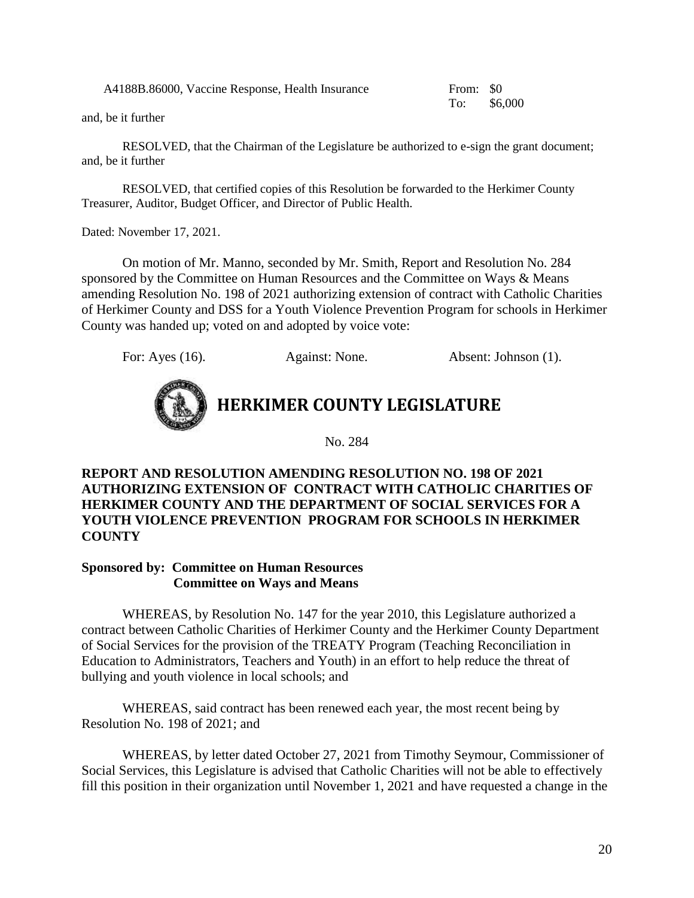A4188B.86000, Vaccine Response, Health Insurance From: \$0

To: \$6,000

and, be it further

RESOLVED, that the Chairman of the Legislature be authorized to e-sign the grant document; and, be it further

RESOLVED, that certified copies of this Resolution be forwarded to the Herkimer County Treasurer, Auditor, Budget Officer, and Director of Public Health.

Dated: November 17, 2021.

On motion of Mr. Manno, seconded by Mr. Smith, Report and Resolution No. 284 sponsored by the Committee on Human Resources and the Committee on Ways & Means amending Resolution No. 198 of 2021 authorizing extension of contract with Catholic Charities of Herkimer County and DSS for a Youth Violence Prevention Program for schools in Herkimer County was handed up; voted on and adopted by voice vote:

For: Ayes (16). Against: None. Absent: Johnson (1).



**HERKIMER COUNTY LEGISLATURE**

No. 284

**REPORT AND RESOLUTION AMENDING RESOLUTION NO. 198 OF 2021 AUTHORIZING EXTENSION OF CONTRACT WITH CATHOLIC CHARITIES OF HERKIMER COUNTY AND THE DEPARTMENT OF SOCIAL SERVICES FOR A YOUTH VIOLENCE PREVENTION PROGRAM FOR SCHOOLS IN HERKIMER COUNTY** 

#### **Sponsored by: Committee on Human Resources Committee on Ways and Means**

WHEREAS, by Resolution No. 147 for the year 2010, this Legislature authorized a contract between Catholic Charities of Herkimer County and the Herkimer County Department of Social Services for the provision of the TREATY Program (Teaching Reconciliation in Education to Administrators, Teachers and Youth) in an effort to help reduce the threat of bullying and youth violence in local schools; and

WHEREAS, said contract has been renewed each year, the most recent being by Resolution No. 198 of 2021; and

WHEREAS, by letter dated October 27, 2021 from Timothy Seymour, Commissioner of Social Services, this Legislature is advised that Catholic Charities will not be able to effectively fill this position in their organization until November 1, 2021 and have requested a change in the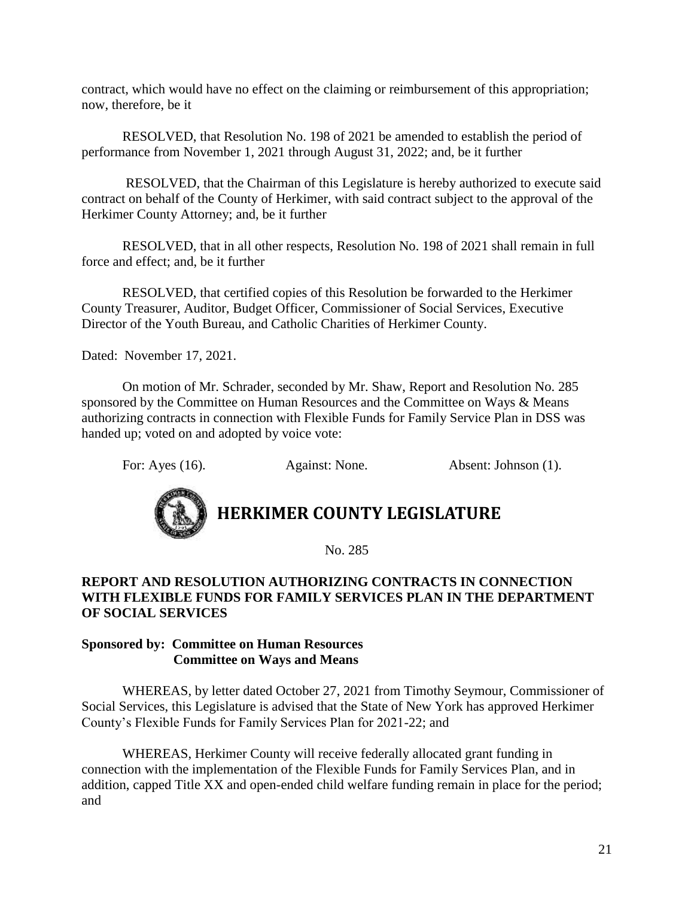contract, which would have no effect on the claiming or reimbursement of this appropriation; now, therefore, be it

RESOLVED, that Resolution No. 198 of 2021 be amended to establish the period of performance from November 1, 2021 through August 31, 2022; and, be it further

RESOLVED, that the Chairman of this Legislature is hereby authorized to execute said contract on behalf of the County of Herkimer, with said contract subject to the approval of the Herkimer County Attorney; and, be it further

RESOLVED, that in all other respects, Resolution No. 198 of 2021 shall remain in full force and effect; and, be it further

RESOLVED, that certified copies of this Resolution be forwarded to the Herkimer County Treasurer, Auditor, Budget Officer, Commissioner of Social Services, Executive Director of the Youth Bureau, and Catholic Charities of Herkimer County.

Dated: November 17, 2021.

On motion of Mr. Schrader, seconded by Mr. Shaw, Report and Resolution No. 285 sponsored by the Committee on Human Resources and the Committee on Ways & Means authorizing contracts in connection with Flexible Funds for Family Service Plan in DSS was handed up; voted on and adopted by voice vote:

For: Ayes (16). Against: None. Absent: Johnson (1).



**HERKIMER COUNTY LEGISLATURE**

No. 285

#### **REPORT AND RESOLUTION AUTHORIZING CONTRACTS IN CONNECTION WITH FLEXIBLE FUNDS FOR FAMILY SERVICES PLAN IN THE DEPARTMENT OF SOCIAL SERVICES**

#### **Sponsored by: Committee on Human Resources Committee on Ways and Means**

WHEREAS, by letter dated October 27, 2021 from Timothy Seymour, Commissioner of Social Services, this Legislature is advised that the State of New York has approved Herkimer County's Flexible Funds for Family Services Plan for 2021-22; and

WHEREAS, Herkimer County will receive federally allocated grant funding in connection with the implementation of the Flexible Funds for Family Services Plan, and in addition, capped Title XX and open-ended child welfare funding remain in place for the period; and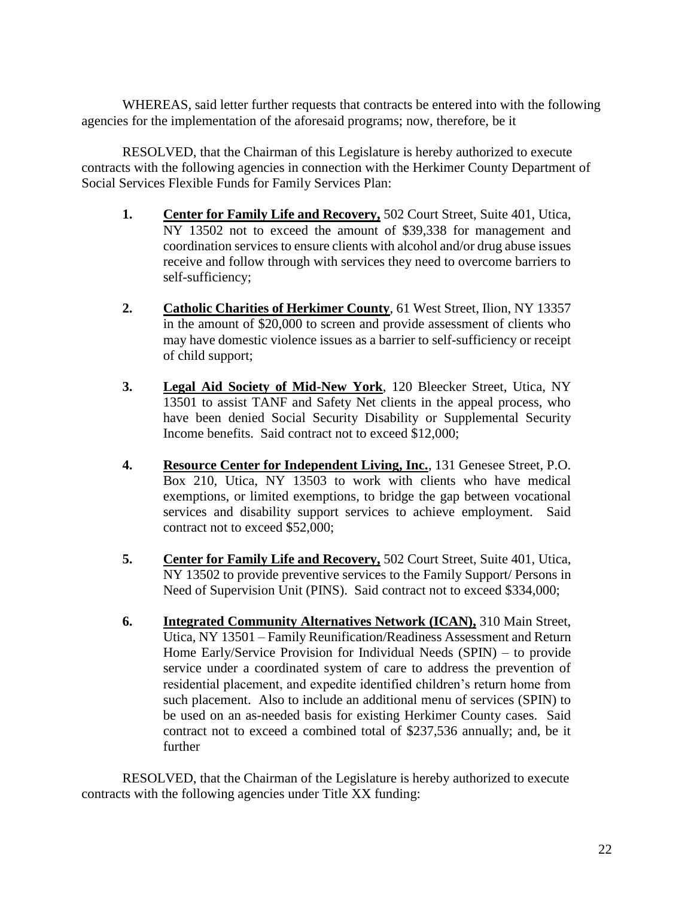WHEREAS, said letter further requests that contracts be entered into with the following agencies for the implementation of the aforesaid programs; now, therefore, be it

RESOLVED, that the Chairman of this Legislature is hereby authorized to execute contracts with the following agencies in connection with the Herkimer County Department of Social Services Flexible Funds for Family Services Plan:

- **1. Center for Family Life and Recovery,** 502 Court Street, Suite 401, Utica, NY 13502 not to exceed the amount of \$39,338 for management and coordination services to ensure clients with alcohol and/or drug abuse issues receive and follow through with services they need to overcome barriers to self-sufficiency;
- **2. Catholic Charities of Herkimer County**, 61 West Street, Ilion, NY 13357 in the amount of \$20,000 to screen and provide assessment of clients who may have domestic violence issues as a barrier to self-sufficiency or receipt of child support;
- **3. Legal Aid Society of Mid-New York**, 120 Bleecker Street, Utica, NY 13501 to assist TANF and Safety Net clients in the appeal process, who have been denied Social Security Disability or Supplemental Security Income benefits. Said contract not to exceed \$12,000;
- **4. Resource Center for Independent Living, Inc.**, 131 Genesee Street, P.O. Box 210, Utica, NY 13503 to work with clients who have medical exemptions, or limited exemptions, to bridge the gap between vocational services and disability support services to achieve employment. Said contract not to exceed \$52,000;
- **5. Center for Family Life and Recovery,** 502 Court Street, Suite 401, Utica, NY 13502 to provide preventive services to the Family Support/ Persons in Need of Supervision Unit (PINS). Said contract not to exceed \$334,000;
- **6. Integrated Community Alternatives Network (ICAN),** 310 Main Street, Utica, NY 13501 – Family Reunification/Readiness Assessment and Return Home Early/Service Provision for Individual Needs (SPIN) – to provide service under a coordinated system of care to address the prevention of residential placement, and expedite identified children's return home from such placement. Also to include an additional menu of services (SPIN) to be used on an as-needed basis for existing Herkimer County cases. Said contract not to exceed a combined total of \$237,536 annually; and, be it further

RESOLVED, that the Chairman of the Legislature is hereby authorized to execute contracts with the following agencies under Title XX funding: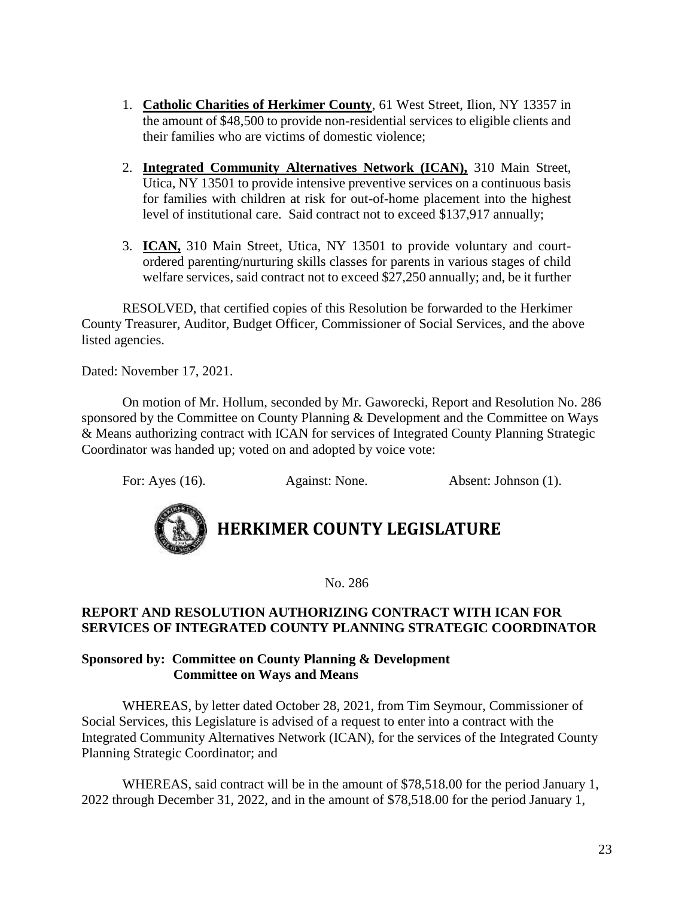- 1. **Catholic Charities of Herkimer County**, 61 West Street, Ilion, NY 13357 in the amount of \$48,500 to provide non-residential services to eligible clients and their families who are victims of domestic violence;
- 2. **Integrated Community Alternatives Network (ICAN),** 310 Main Street, Utica, NY 13501 to provide intensive preventive services on a continuous basis for families with children at risk for out-of-home placement into the highest level of institutional care. Said contract not to exceed \$137,917 annually;
- 3. **ICAN,** 310 Main Street, Utica, NY 13501 to provide voluntary and courtordered parenting/nurturing skills classes for parents in various stages of child welfare services, said contract not to exceed \$27,250 annually; and, be it further

RESOLVED, that certified copies of this Resolution be forwarded to the Herkimer County Treasurer, Auditor, Budget Officer, Commissioner of Social Services, and the above listed agencies.

Dated: November 17, 2021.

On motion of Mr. Hollum, seconded by Mr. Gaworecki, Report and Resolution No. 286 sponsored by the Committee on County Planning & Development and the Committee on Ways & Means authorizing contract with ICAN for services of Integrated County Planning Strategic Coordinator was handed up; voted on and adopted by voice vote:

For: Ayes (16). Against: None. Absent: Johnson (1).



### **HERKIMER COUNTY LEGISLATURE**

No. 286

#### **REPORT AND RESOLUTION AUTHORIZING CONTRACT WITH ICAN FOR SERVICES OF INTEGRATED COUNTY PLANNING STRATEGIC COORDINATOR**

#### **Sponsored by: Committee on County Planning & Development Committee on Ways and Means**

WHEREAS, by letter dated October 28, 2021, from Tim Seymour, Commissioner of Social Services, this Legislature is advised of a request to enter into a contract with the Integrated Community Alternatives Network (ICAN), for the services of the Integrated County Planning Strategic Coordinator; and

WHEREAS, said contract will be in the amount of \$78,518.00 for the period January 1, 2022 through December 31, 2022, and in the amount of \$78,518.00 for the period January 1,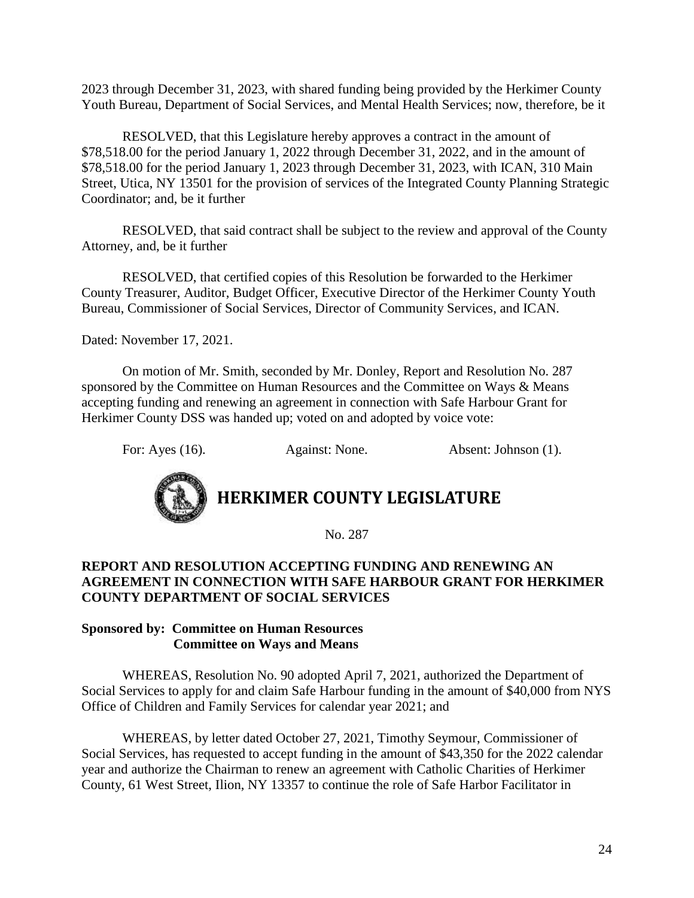2023 through December 31, 2023, with shared funding being provided by the Herkimer County Youth Bureau, Department of Social Services, and Mental Health Services; now, therefore, be it

RESOLVED, that this Legislature hereby approves a contract in the amount of \$78,518.00 for the period January 1, 2022 through December 31, 2022, and in the amount of \$78,518.00 for the period January 1, 2023 through December 31, 2023, with ICAN, 310 Main Street, Utica, NY 13501 for the provision of services of the Integrated County Planning Strategic Coordinator; and, be it further

RESOLVED, that said contract shall be subject to the review and approval of the County Attorney, and, be it further

RESOLVED, that certified copies of this Resolution be forwarded to the Herkimer County Treasurer, Auditor, Budget Officer, Executive Director of the Herkimer County Youth Bureau, Commissioner of Social Services, Director of Community Services, and ICAN.

Dated: November 17, 2021.

On motion of Mr. Smith, seconded by Mr. Donley, Report and Resolution No. 287 sponsored by the Committee on Human Resources and the Committee on Ways & Means accepting funding and renewing an agreement in connection with Safe Harbour Grant for Herkimer County DSS was handed up; voted on and adopted by voice vote:

For: Ayes (16). Against: None. Absent: Johnson (1).



# **HERKIMER COUNTY LEGISLATURE**

No. 287

#### **REPORT AND RESOLUTION ACCEPTING FUNDING AND RENEWING AN AGREEMENT IN CONNECTION WITH SAFE HARBOUR GRANT FOR HERKIMER COUNTY DEPARTMENT OF SOCIAL SERVICES**

#### **Sponsored by: Committee on Human Resources Committee on Ways and Means**

WHEREAS, Resolution No. 90 adopted April 7, 2021, authorized the Department of Social Services to apply for and claim Safe Harbour funding in the amount of \$40,000 from NYS Office of Children and Family Services for calendar year 2021; and

WHEREAS, by letter dated October 27, 2021, Timothy Seymour, Commissioner of Social Services, has requested to accept funding in the amount of \$43,350 for the 2022 calendar year and authorize the Chairman to renew an agreement with Catholic Charities of Herkimer County, 61 West Street, Ilion, NY 13357 to continue the role of Safe Harbor Facilitator in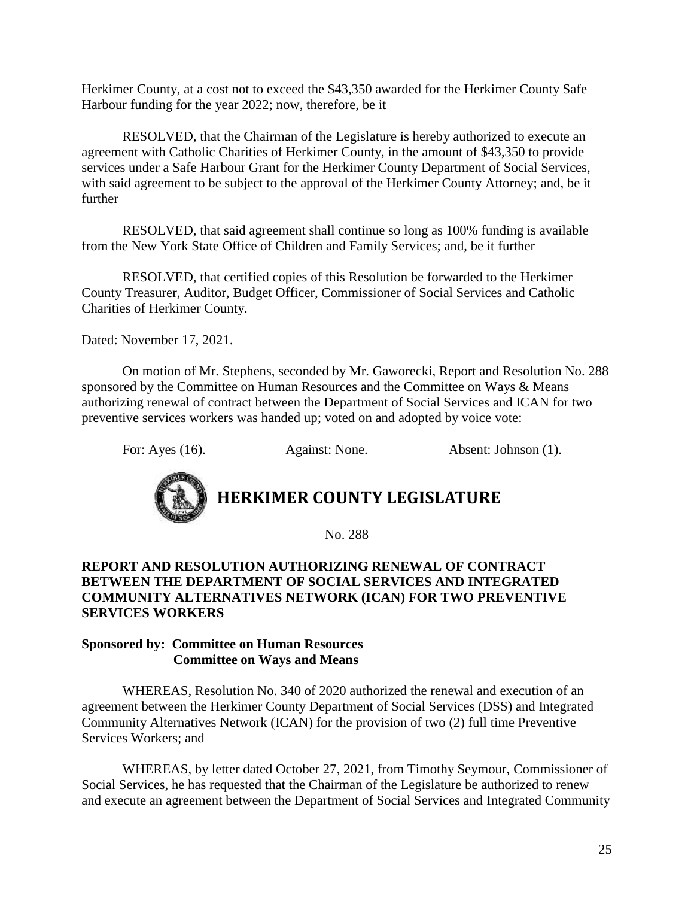Herkimer County, at a cost not to exceed the \$43,350 awarded for the Herkimer County Safe Harbour funding for the year 2022; now, therefore, be it

RESOLVED, that the Chairman of the Legislature is hereby authorized to execute an agreement with Catholic Charities of Herkimer County, in the amount of \$43,350 to provide services under a Safe Harbour Grant for the Herkimer County Department of Social Services, with said agreement to be subject to the approval of the Herkimer County Attorney; and, be it further

RESOLVED, that said agreement shall continue so long as 100% funding is available from the New York State Office of Children and Family Services; and, be it further

RESOLVED, that certified copies of this Resolution be forwarded to the Herkimer County Treasurer, Auditor, Budget Officer, Commissioner of Social Services and Catholic Charities of Herkimer County.

Dated: November 17, 2021.

On motion of Mr. Stephens, seconded by Mr. Gaworecki, Report and Resolution No. 288 sponsored by the Committee on Human Resources and the Committee on Ways & Means authorizing renewal of contract between the Department of Social Services and ICAN for two preventive services workers was handed up; voted on and adopted by voice vote:

For: Ayes (16). Against: None. Absent: Johnson (1).



### **HERKIMER COUNTY LEGISLATURE**

No. 288

#### **REPORT AND RESOLUTION AUTHORIZING RENEWAL OF CONTRACT BETWEEN THE DEPARTMENT OF SOCIAL SERVICES AND INTEGRATED COMMUNITY ALTERNATIVES NETWORK (ICAN) FOR TWO PREVENTIVE SERVICES WORKERS**

#### **Sponsored by: Committee on Human Resources Committee on Ways and Means**

WHEREAS, Resolution No. 340 of 2020 authorized the renewal and execution of an agreement between the Herkimer County Department of Social Services (DSS) and Integrated Community Alternatives Network (ICAN) for the provision of two (2) full time Preventive Services Workers; and

WHEREAS, by letter dated October 27, 2021, from Timothy Seymour, Commissioner of Social Services, he has requested that the Chairman of the Legislature be authorized to renew and execute an agreement between the Department of Social Services and Integrated Community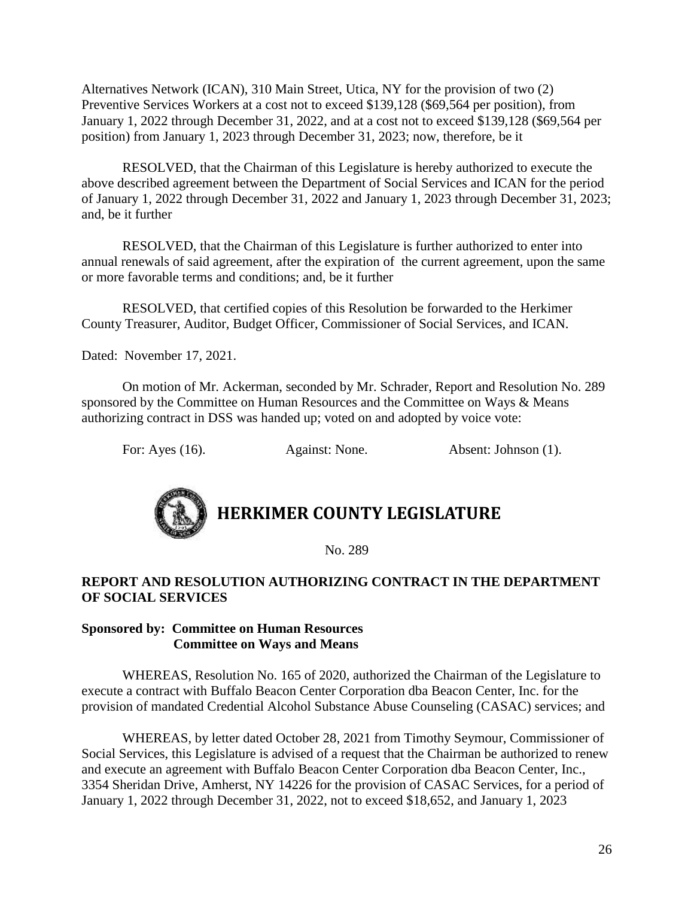Alternatives Network (ICAN), 310 Main Street, Utica, NY for the provision of two (2) Preventive Services Workers at a cost not to exceed \$139,128 (\$69,564 per position), from January 1, 2022 through December 31, 2022, and at a cost not to exceed \$139,128 (\$69,564 per position) from January 1, 2023 through December 31, 2023; now, therefore, be it

RESOLVED, that the Chairman of this Legislature is hereby authorized to execute the above described agreement between the Department of Social Services and ICAN for the period of January 1, 2022 through December 31, 2022 and January 1, 2023 through December 31, 2023; and, be it further

RESOLVED, that the Chairman of this Legislature is further authorized to enter into annual renewals of said agreement, after the expiration of the current agreement, upon the same or more favorable terms and conditions; and, be it further

RESOLVED, that certified copies of this Resolution be forwarded to the Herkimer County Treasurer, Auditor, Budget Officer, Commissioner of Social Services, and ICAN.

Dated: November 17, 2021.

On motion of Mr. Ackerman, seconded by Mr. Schrader, Report and Resolution No. 289 sponsored by the Committee on Human Resources and the Committee on Ways & Means authorizing contract in DSS was handed up; voted on and adopted by voice vote:

For: Ayes (16). Against: None. Absent: Johnson (1).



No. 289

#### **REPORT AND RESOLUTION AUTHORIZING CONTRACT IN THE DEPARTMENT OF SOCIAL SERVICES**

#### **Sponsored by: Committee on Human Resources Committee on Ways and Means**

WHEREAS, Resolution No. 165 of 2020, authorized the Chairman of the Legislature to execute a contract with Buffalo Beacon Center Corporation dba Beacon Center, Inc. for the provision of mandated Credential Alcohol Substance Abuse Counseling (CASAC) services; and

WHEREAS, by letter dated October 28, 2021 from Timothy Seymour, Commissioner of Social Services, this Legislature is advised of a request that the Chairman be authorized to renew and execute an agreement with Buffalo Beacon Center Corporation dba Beacon Center, Inc., 3354 Sheridan Drive, Amherst, NY 14226 for the provision of CASAC Services, for a period of January 1, 2022 through December 31, 2022, not to exceed \$18,652, and January 1, 2023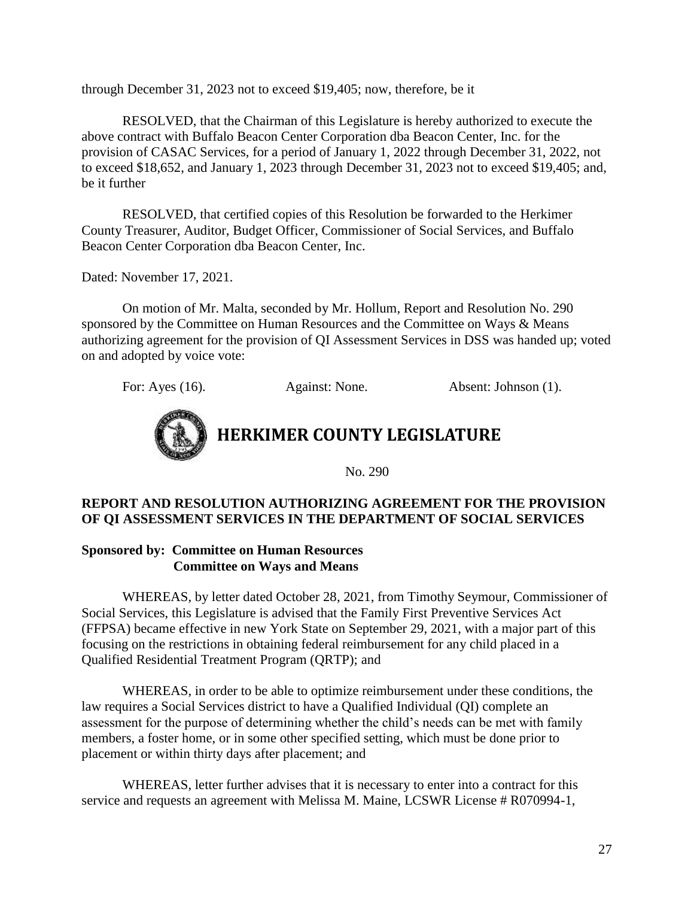through December 31, 2023 not to exceed \$19,405; now, therefore, be it

RESOLVED, that the Chairman of this Legislature is hereby authorized to execute the above contract with Buffalo Beacon Center Corporation dba Beacon Center, Inc. for the provision of CASAC Services, for a period of January 1, 2022 through December 31, 2022, not to exceed \$18,652, and January 1, 2023 through December 31, 2023 not to exceed \$19,405; and, be it further

RESOLVED, that certified copies of this Resolution be forwarded to the Herkimer County Treasurer, Auditor, Budget Officer, Commissioner of Social Services, and Buffalo Beacon Center Corporation dba Beacon Center, Inc.

Dated: November 17, 2021.

On motion of Mr. Malta, seconded by Mr. Hollum, Report and Resolution No. 290 sponsored by the Committee on Human Resources and the Committee on Ways & Means authorizing agreement for the provision of QI Assessment Services in DSS was handed up; voted on and adopted by voice vote:

For: Ayes (16). Against: None. Absent: Johnson (1).



**HERKIMER COUNTY LEGISLATURE**

No. 290

#### **REPORT AND RESOLUTION AUTHORIZING AGREEMENT FOR THE PROVISION OF QI ASSESSMENT SERVICES IN THE DEPARTMENT OF SOCIAL SERVICES**

#### **Sponsored by: Committee on Human Resources Committee on Ways and Means**

WHEREAS, by letter dated October 28, 2021, from Timothy Seymour, Commissioner of Social Services, this Legislature is advised that the Family First Preventive Services Act (FFPSA) became effective in new York State on September 29, 2021, with a major part of this focusing on the restrictions in obtaining federal reimbursement for any child placed in a Qualified Residential Treatment Program (QRTP); and

WHEREAS, in order to be able to optimize reimbursement under these conditions, the law requires a Social Services district to have a Qualified Individual (QI) complete an assessment for the purpose of determining whether the child's needs can be met with family members, a foster home, or in some other specified setting, which must be done prior to placement or within thirty days after placement; and

WHEREAS, letter further advises that it is necessary to enter into a contract for this service and requests an agreement with Melissa M. Maine, LCSWR License # R070994-1,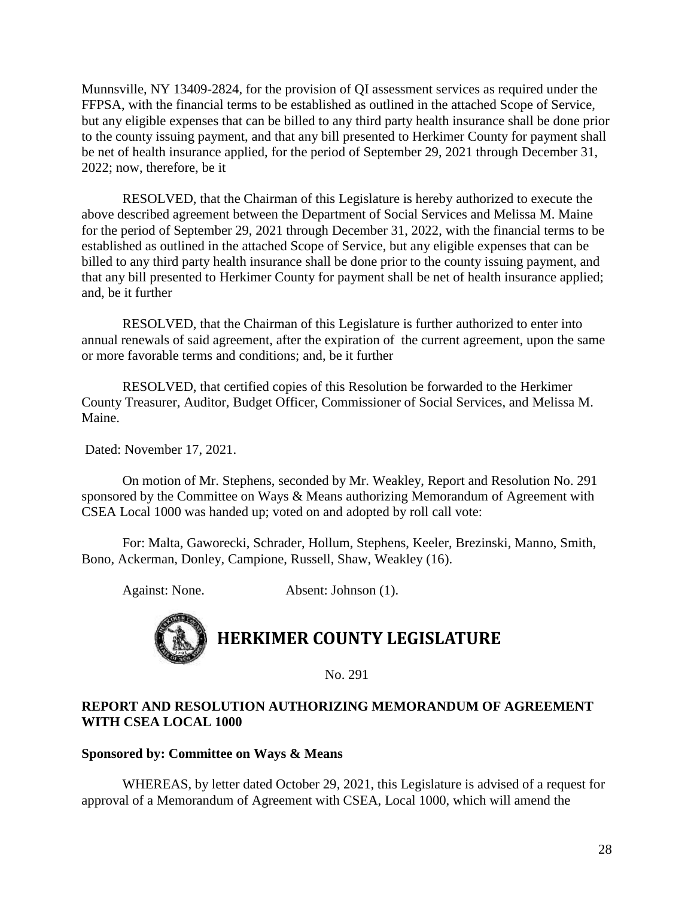Munnsville, NY 13409-2824, for the provision of QI assessment services as required under the FFPSA, with the financial terms to be established as outlined in the attached Scope of Service, but any eligible expenses that can be billed to any third party health insurance shall be done prior to the county issuing payment, and that any bill presented to Herkimer County for payment shall be net of health insurance applied, for the period of September 29, 2021 through December 31, 2022; now, therefore, be it

RESOLVED, that the Chairman of this Legislature is hereby authorized to execute the above described agreement between the Department of Social Services and Melissa M. Maine for the period of September 29, 2021 through December 31, 2022, with the financial terms to be established as outlined in the attached Scope of Service, but any eligible expenses that can be billed to any third party health insurance shall be done prior to the county issuing payment, and that any bill presented to Herkimer County for payment shall be net of health insurance applied; and, be it further

RESOLVED, that the Chairman of this Legislature is further authorized to enter into annual renewals of said agreement, after the expiration of the current agreement, upon the same or more favorable terms and conditions; and, be it further

RESOLVED, that certified copies of this Resolution be forwarded to the Herkimer County Treasurer, Auditor, Budget Officer, Commissioner of Social Services, and Melissa M. Maine.

Dated: November 17, 2021.

On motion of Mr. Stephens, seconded by Mr. Weakley, Report and Resolution No. 291 sponsored by the Committee on Ways & Means authorizing Memorandum of Agreement with CSEA Local 1000 was handed up; voted on and adopted by roll call vote:

For: Malta, Gaworecki, Schrader, Hollum, Stephens, Keeler, Brezinski, Manno, Smith, Bono, Ackerman, Donley, Campione, Russell, Shaw, Weakley (16).

Against: None. Absent: Johnson (1).



# **HERKIMER COUNTY LEGISLATURE**

No. 291

#### **REPORT AND RESOLUTION AUTHORIZING MEMORANDUM OF AGREEMENT WITH CSEA LOCAL 1000**

#### **Sponsored by: Committee on Ways & Means**

WHEREAS, by letter dated October 29, 2021, this Legislature is advised of a request for approval of a Memorandum of Agreement with CSEA, Local 1000, which will amend the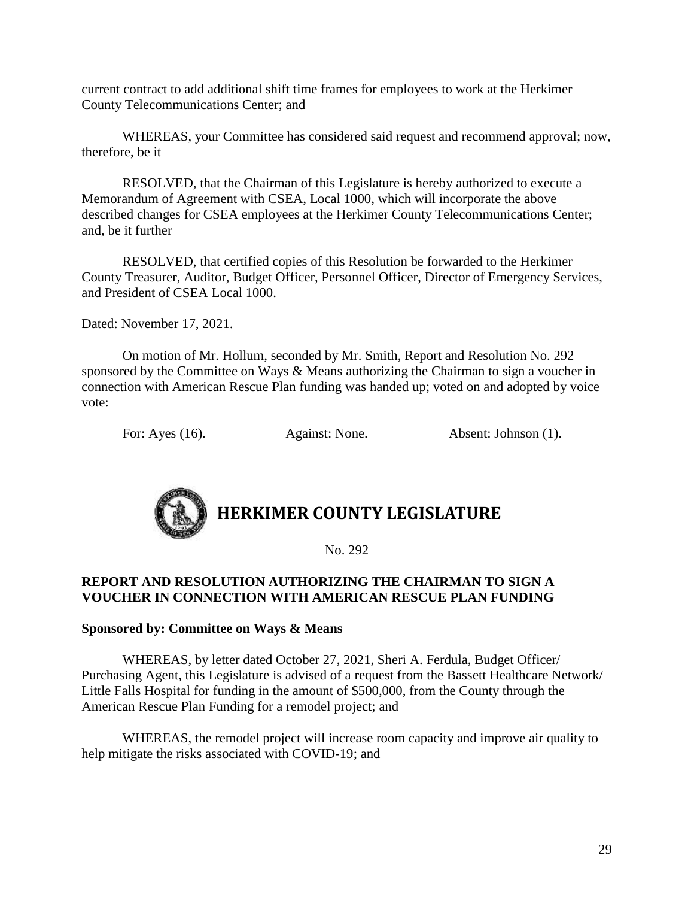current contract to add additional shift time frames for employees to work at the Herkimer County Telecommunications Center; and

WHEREAS, your Committee has considered said request and recommend approval; now, therefore, be it

RESOLVED, that the Chairman of this Legislature is hereby authorized to execute a Memorandum of Agreement with CSEA, Local 1000, which will incorporate the above described changes for CSEA employees at the Herkimer County Telecommunications Center; and, be it further

RESOLVED, that certified copies of this Resolution be forwarded to the Herkimer County Treasurer, Auditor, Budget Officer, Personnel Officer, Director of Emergency Services, and President of CSEA Local 1000.

Dated: November 17, 2021.

On motion of Mr. Hollum, seconded by Mr. Smith, Report and Resolution No. 292 sponsored by the Committee on Ways & Means authorizing the Chairman to sign a voucher in connection with American Rescue Plan funding was handed up; voted on and adopted by voice vote:

For: Ayes (16). Against: None. Absent: Johnson (1).



No. 292

#### **REPORT AND RESOLUTION AUTHORIZING THE CHAIRMAN TO SIGN A VOUCHER IN CONNECTION WITH AMERICAN RESCUE PLAN FUNDING**

#### **Sponsored by: Committee on Ways & Means**

WHEREAS, by letter dated October 27, 2021, Sheri A. Ferdula, Budget Officer/ Purchasing Agent, this Legislature is advised of a request from the Bassett Healthcare Network/ Little Falls Hospital for funding in the amount of \$500,000, from the County through the American Rescue Plan Funding for a remodel project; and

WHEREAS, the remodel project will increase room capacity and improve air quality to help mitigate the risks associated with COVID-19; and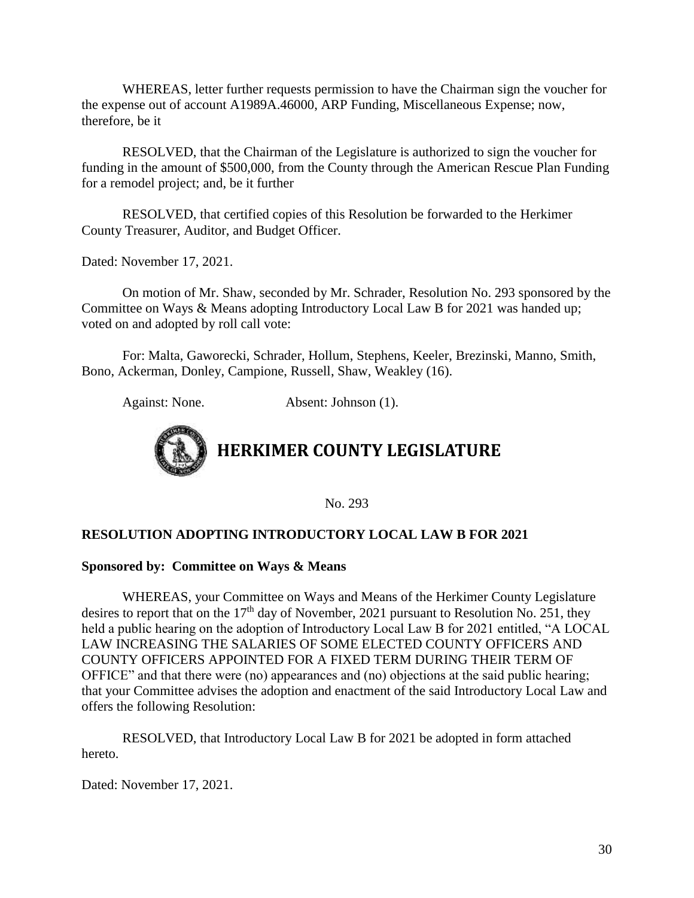WHEREAS, letter further requests permission to have the Chairman sign the voucher for the expense out of account A1989A.46000, ARP Funding, Miscellaneous Expense; now, therefore, be it

RESOLVED, that the Chairman of the Legislature is authorized to sign the voucher for funding in the amount of \$500,000, from the County through the American Rescue Plan Funding for a remodel project; and, be it further

 RESOLVED, that certified copies of this Resolution be forwarded to the Herkimer County Treasurer, Auditor, and Budget Officer.

Dated: November 17, 2021.

On motion of Mr. Shaw, seconded by Mr. Schrader, Resolution No. 293 sponsored by the Committee on Ways & Means adopting Introductory Local Law B for 2021 was handed up; voted on and adopted by roll call vote:

For: Malta, Gaworecki, Schrader, Hollum, Stephens, Keeler, Brezinski, Manno, Smith, Bono, Ackerman, Donley, Campione, Russell, Shaw, Weakley (16).

Against: None. Absent: Johnson (1).



No. 293

#### **RESOLUTION ADOPTING INTRODUCTORY LOCAL LAW B FOR 2021**

#### **Sponsored by: Committee on Ways & Means**

WHEREAS, your Committee on Ways and Means of the Herkimer County Legislature desires to report that on the  $17<sup>th</sup>$  day of November, 2021 pursuant to Resolution No. 251, they held a public hearing on the adoption of Introductory Local Law B for 2021 entitled, "A LOCAL LAW INCREASING THE SALARIES OF SOME ELECTED COUNTY OFFICERS AND COUNTY OFFICERS APPOINTED FOR A FIXED TERM DURING THEIR TERM OF OFFICE" and that there were (no) appearances and (no) objections at the said public hearing; that your Committee advises the adoption and enactment of the said Introductory Local Law and offers the following Resolution:

RESOLVED, that Introductory Local Law B for 2021 be adopted in form attached hereto.

Dated: November 17, 2021.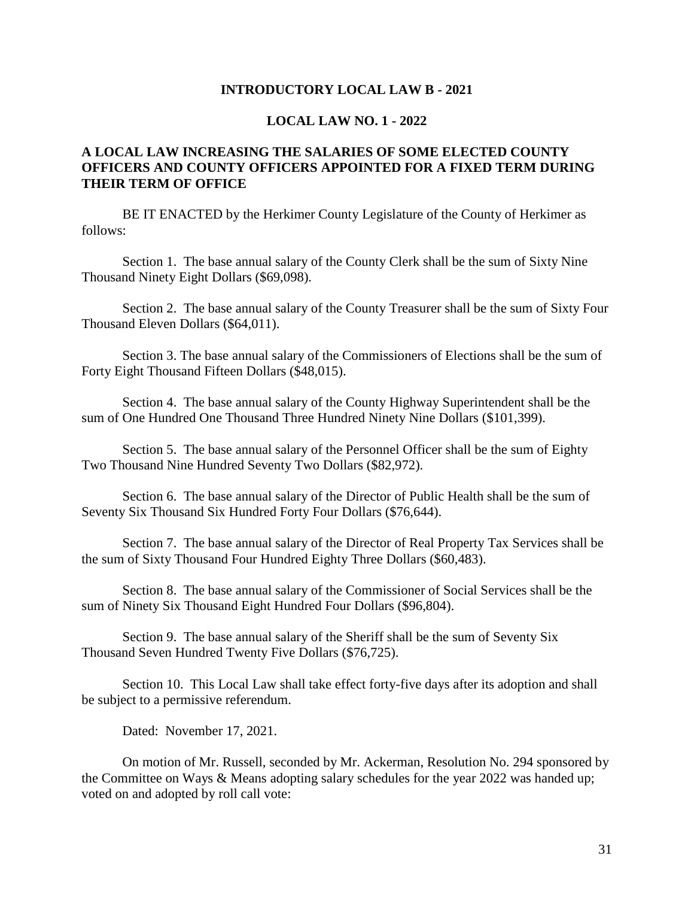#### **INTRODUCTORY LOCAL LAW B - 2021**

#### **LOCAL LAW NO. 1 - 2022**

#### **A LOCAL LAW INCREASING THE SALARIES OF SOME ELECTED COUNTY OFFICERS AND COUNTY OFFICERS APPOINTED FOR A FIXED TERM DURING THEIR TERM OF OFFICE**

BE IT ENACTED by the Herkimer County Legislature of the County of Herkimer as follows:

Section 1. The base annual salary of the County Clerk shall be the sum of Sixty Nine Thousand Ninety Eight Dollars (\$69,098).

Section 2. The base annual salary of the County Treasurer shall be the sum of Sixty Four Thousand Eleven Dollars (\$64,011).

Section 3. The base annual salary of the Commissioners of Elections shall be the sum of Forty Eight Thousand Fifteen Dollars (\$48,015).

Section 4. The base annual salary of the County Highway Superintendent shall be the sum of One Hundred One Thousand Three Hundred Ninety Nine Dollars (\$101,399).

Section 5. The base annual salary of the Personnel Officer shall be the sum of Eighty Two Thousand Nine Hundred Seventy Two Dollars (\$82,972).

Section 6. The base annual salary of the Director of Public Health shall be the sum of Seventy Six Thousand Six Hundred Forty Four Dollars (\$76,644).

Section 7. The base annual salary of the Director of Real Property Tax Services shall be the sum of Sixty Thousand Four Hundred Eighty Three Dollars (\$60,483).

Section 8. The base annual salary of the Commissioner of Social Services shall be the sum of Ninety Six Thousand Eight Hundred Four Dollars (\$96,804).

Section 9. The base annual salary of the Sheriff shall be the sum of Seventy Six Thousand Seven Hundred Twenty Five Dollars (\$76,725).

Section 10. This Local Law shall take effect forty-five days after its adoption and shall be subject to a permissive referendum.

Dated: November 17, 2021.

On motion of Mr. Russell, seconded by Mr. Ackerman, Resolution No. 294 sponsored by the Committee on Ways & Means adopting salary schedules for the year 2022 was handed up; voted on and adopted by roll call vote: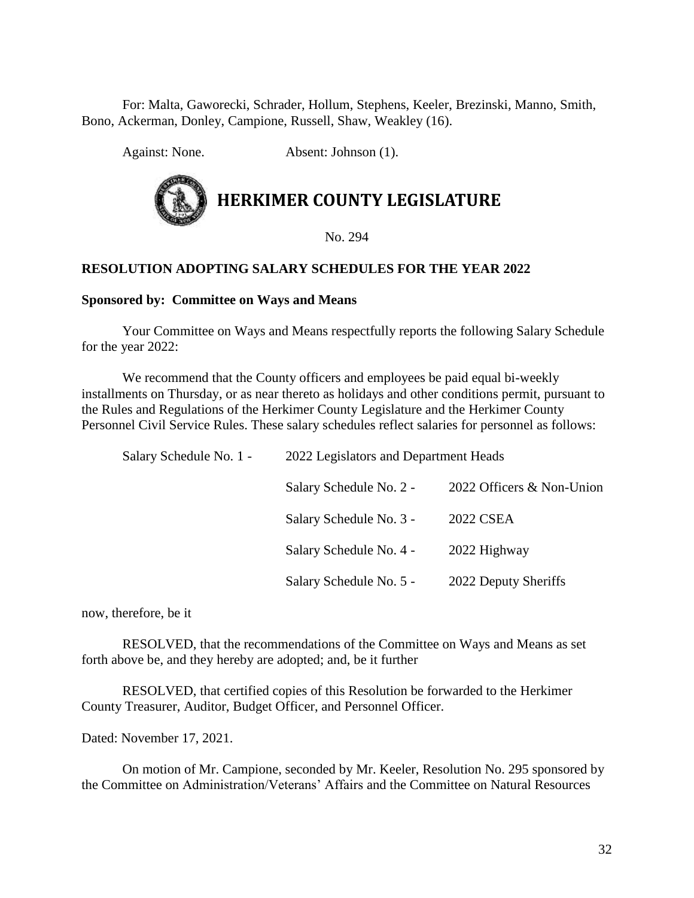For: Malta, Gaworecki, Schrader, Hollum, Stephens, Keeler, Brezinski, Manno, Smith, Bono, Ackerman, Donley, Campione, Russell, Shaw, Weakley (16).

Against: None. Absent: Johnson (1).

# **HERKIMER COUNTY LEGISLATURE**

No. 294

#### **RESOLUTION ADOPTING SALARY SCHEDULES FOR THE YEAR 2022**

#### **Sponsored by: Committee on Ways and Means**

Your Committee on Ways and Means respectfully reports the following Salary Schedule for the year 2022:

We recommend that the County officers and employees be paid equal bi-weekly installments on Thursday, or as near thereto as holidays and other conditions permit, pursuant to the Rules and Regulations of the Herkimer County Legislature and the Herkimer County Personnel Civil Service Rules. These salary schedules reflect salaries for personnel as follows:

| Salary Schedule No. 1 - |                         | 2022 Legislators and Department Heads |                           |  |
|-------------------------|-------------------------|---------------------------------------|---------------------------|--|
|                         | Salary Schedule No. 2 - |                                       | 2022 Officers & Non-Union |  |
|                         | Salary Schedule No. 3 - |                                       | 2022 CSEA                 |  |
|                         | Salary Schedule No. 4 - |                                       | 2022 Highway              |  |
|                         | Salary Schedule No. 5 - |                                       | 2022 Deputy Sheriffs      |  |

now, therefore, be it

RESOLVED, that the recommendations of the Committee on Ways and Means as set forth above be, and they hereby are adopted; and, be it further

RESOLVED, that certified copies of this Resolution be forwarded to the Herkimer County Treasurer, Auditor, Budget Officer, and Personnel Officer.

Dated: November 17, 2021.

On motion of Mr. Campione, seconded by Mr. Keeler, Resolution No. 295 sponsored by the Committee on Administration/Veterans' Affairs and the Committee on Natural Resources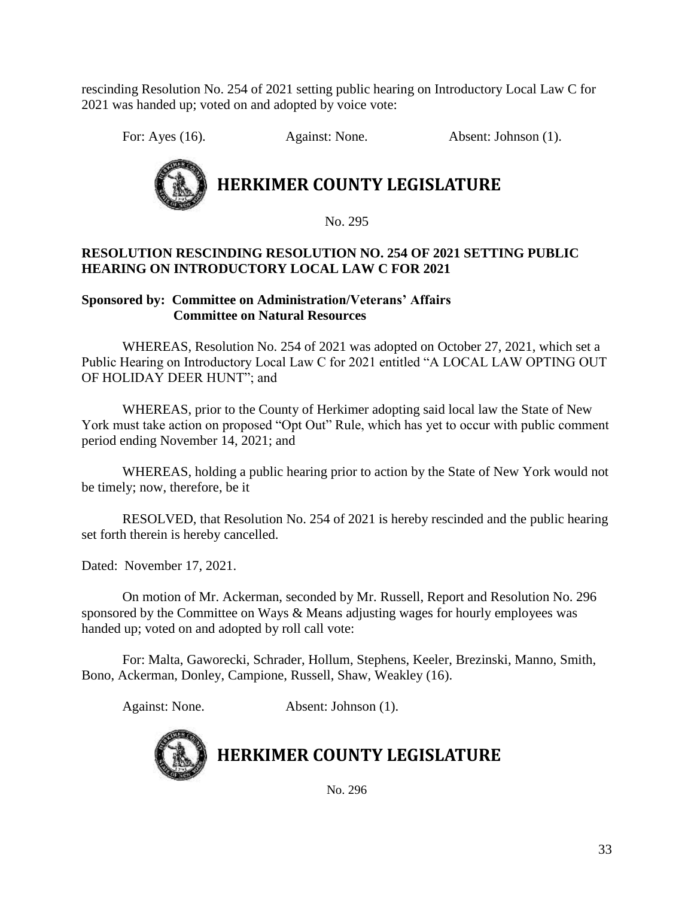rescinding Resolution No. 254 of 2021 setting public hearing on Introductory Local Law C for 2021 was handed up; voted on and adopted by voice vote:

For: Ayes (16). Against: None. Absent: Johnson (1).



No. 295

#### **RESOLUTION RESCINDING RESOLUTION NO. 254 OF 2021 SETTING PUBLIC HEARING ON INTRODUCTORY LOCAL LAW C FOR 2021**

#### **Sponsored by: Committee on Administration/Veterans' Affairs Committee on Natural Resources**

WHEREAS, Resolution No. 254 of 2021 was adopted on October 27, 2021, which set a Public Hearing on Introductory Local Law C for 2021 entitled "A LOCAL LAW OPTING OUT OF HOLIDAY DEER HUNT"; and

WHEREAS, prior to the County of Herkimer adopting said local law the State of New York must take action on proposed "Opt Out" Rule, which has yet to occur with public comment period ending November 14, 2021; and

WHEREAS, holding a public hearing prior to action by the State of New York would not be timely; now, therefore, be it

RESOLVED, that Resolution No. 254 of 2021 is hereby rescinded and the public hearing set forth therein is hereby cancelled.

Dated: November 17, 2021.

On motion of Mr. Ackerman, seconded by Mr. Russell, Report and Resolution No. 296 sponsored by the Committee on Ways & Means adjusting wages for hourly employees was handed up; voted on and adopted by roll call vote:

For: Malta, Gaworecki, Schrader, Hollum, Stephens, Keeler, Brezinski, Manno, Smith, Bono, Ackerman, Donley, Campione, Russell, Shaw, Weakley (16).

Against: None. Absent: Johnson (1).



**HERKIMER COUNTY LEGISLATURE**

No. 296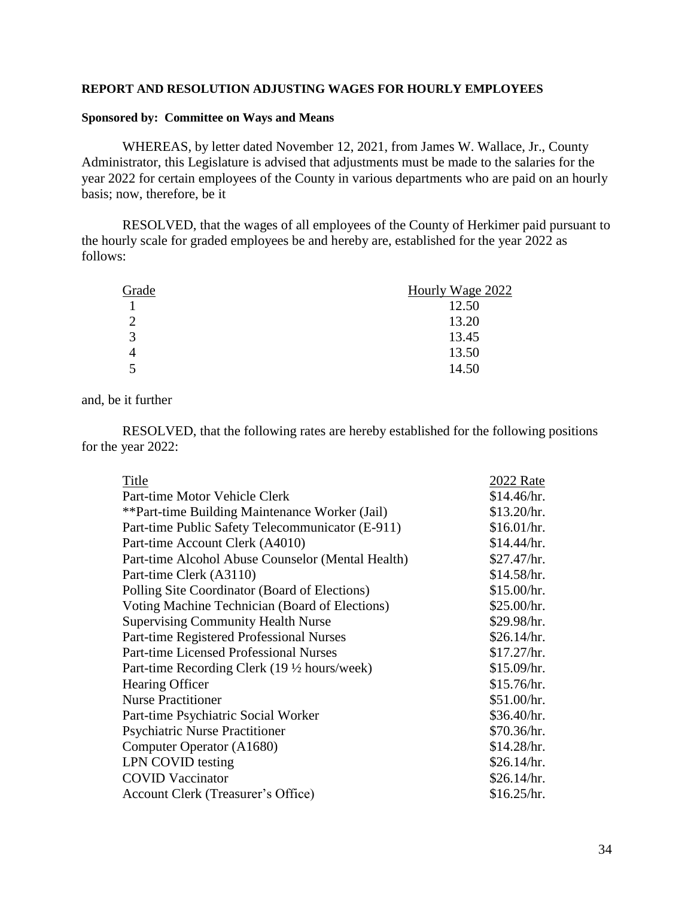#### **REPORT AND RESOLUTION ADJUSTING WAGES FOR HOURLY EMPLOYEES**

#### **Sponsored by: Committee on Ways and Means**

WHEREAS, by letter dated November 12, 2021, from James W. Wallace, Jr., County Administrator, this Legislature is advised that adjustments must be made to the salaries for the year 2022 for certain employees of the County in various departments who are paid on an hourly basis; now, therefore, be it

RESOLVED, that the wages of all employees of the County of Herkimer paid pursuant to the hourly scale for graded employees be and hereby are, established for the year 2022 as follows:

| Grade    | Hourly Wage 2022 |
|----------|------------------|
|          | 12.50            |
| $\gamma$ | 13.20            |
| 3        | 13.45            |
|          | 13.50            |
|          | 14.50            |

#### and, be it further

RESOLVED, that the following rates are hereby established for the following positions for the year 2022:

| Title                                             | 2022 Rate   |
|---------------------------------------------------|-------------|
| Part-time Motor Vehicle Clerk                     | \$14.46/hr. |
| **Part-time Building Maintenance Worker (Jail)    | \$13.20/hr. |
| Part-time Public Safety Telecommunicator (E-911)  | \$16.01/hr. |
| Part-time Account Clerk (A4010)                   | \$14.44/hr. |
| Part-time Alcohol Abuse Counselor (Mental Health) | \$27.47/hr. |
| Part-time Clerk (A3110)                           | \$14.58/hr. |
| Polling Site Coordinator (Board of Elections)     | \$15.00/hr. |
| Voting Machine Technician (Board of Elections)    | \$25.00/hr. |
| <b>Supervising Community Health Nurse</b>         | \$29.98/hr. |
| Part-time Registered Professional Nurses          | \$26.14/hr. |
| <b>Part-time Licensed Professional Nurses</b>     | \$17.27/hr. |
| Part-time Recording Clerk (19 ½ hours/week)       | \$15.09/hr. |
| Hearing Officer                                   | \$15.76/hr. |
| <b>Nurse Practitioner</b>                         | \$51.00/hr. |
| Part-time Psychiatric Social Worker               | \$36.40/hr. |
| <b>Psychiatric Nurse Practitioner</b>             | \$70.36/hr. |
| Computer Operator (A1680)                         | \$14.28/hr. |
| LPN COVID testing                                 | \$26.14/hr. |
| <b>COVID Vaccinator</b>                           | \$26.14/hr. |
| Account Clerk (Treasurer's Office)                | \$16.25/hr. |